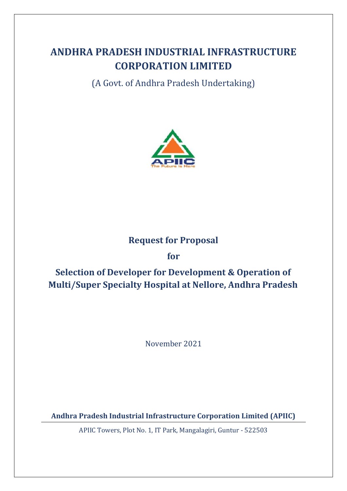# **ANDHRA PRADESH INDUSTRIAL INFRASTRUCTURE CORPORATION LIMITED**

(A Govt. of Andhra Pradesh Undertaking)



## **Request for Proposal**

## **for**

# **Selection of Developer for Development & Operation of Multi/Super Specialty Hospital at Nellore, Andhra Pradesh**

November 2021

**Andhra Pradesh Industrial Infrastructure Corporation Limited (APIIC)**

APIIC Towers, Plot No. 1, IT Park, Mangalagiri, Guntur - 522503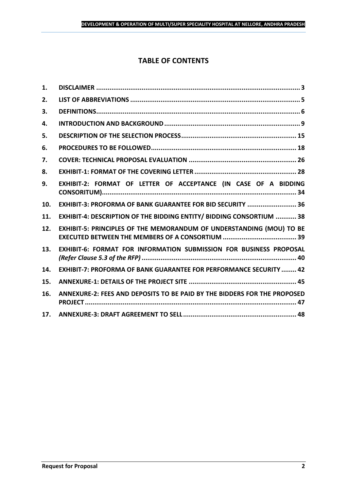## **TABLE OF CONTENTS**

| 1.  |                                                                           |
|-----|---------------------------------------------------------------------------|
| 2.  |                                                                           |
| 3.  |                                                                           |
| 4.  |                                                                           |
| 5.  |                                                                           |
| 6.  |                                                                           |
| 7.  |                                                                           |
| 8.  |                                                                           |
| 9.  | EXHIBIT-2: FORMAT OF LETTER OF ACCEPTANCE (IN CASE OF A BIDDING           |
| 10. | EXHIBIT-3: PROFORMA OF BANK GUARANTEE FOR BID SECURITY  36                |
| 11. | EXHIBIT-4: DESCRIPTION OF THE BIDDING ENTITY/ BIDDING CONSORTIUM  38      |
| 12. | EXHIBIT-5: PRINCIPLES OF THE MEMORANDUM OF UNDERSTANDING (MOU) TO BE      |
| 13. | EXHIBIT-6: FORMAT FOR INFORMATION SUBMISSION FOR BUSINESS PROPOSAL        |
| 14. | <b>EXHIBIT-7: PROFORMA OF BANK GUARANTEE FOR PERFORMANCE SECURITY  42</b> |
| 15. |                                                                           |
| 16. | ANNEXURE-2: FEES AND DEPOSITS TO BE PAID BY THE BIDDERS FOR THE PROPOSED  |
| 17. |                                                                           |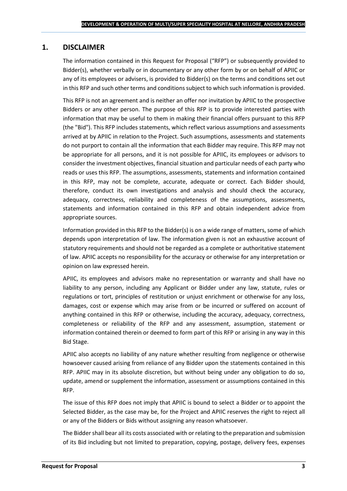## <span id="page-2-0"></span>**1. DISCLAIMER**

The information contained in this Request for Proposal ("RFP") or subsequently provided to Bidder(s), whether verbally or in documentary or any other form by or on behalf of APIIC or any of its employees or advisers, is provided to Bidder(s) on the terms and conditions set out in this RFP and such other terms and conditions subject to which such information is provided.

This RFP is not an agreement and is neither an offer nor invitation by APIIC to the prospective Bidders or any other person. The purpose of this RFP is to provide interested parties with information that may be useful to them in making their financial offers pursuant to this RFP (the "Bid"). This RFP includes statements, which reflect various assumptions and assessments arrived at by APIIC in relation to the Project. Such assumptions, assessments and statements do not purport to contain all the information that each Bidder may require. This RFP may not be appropriate for all persons, and it is not possible for APIIC, its employees or advisors to consider the investment objectives, financial situation and particular needs of each party who reads or uses this RFP. The assumptions, assessments, statements and information contained in this RFP, may not be complete, accurate, adequate or correct. Each Bidder should, therefore, conduct its own investigations and analysis and should check the accuracy, adequacy, correctness, reliability and completeness of the assumptions, assessments, statements and information contained in this RFP and obtain independent advice from appropriate sources.

Information provided in this RFP to the Bidder(s) is on a wide range of matters, some of which depends upon interpretation of law. The information given is not an exhaustive account of statutory requirements and should not be regarded as a complete or authoritative statement of law. APIIC accepts no responsibility for the accuracy or otherwise for any interpretation or opinion on law expressed herein.

APIIC, its employees and advisors make no representation or warranty and shall have no liability to any person, including any Applicant or Bidder under any law, statute, rules or regulations or tort, principles of restitution or unjust enrichment or otherwise for any loss, damages, cost or expense which may arise from or be incurred or suffered on account of anything contained in this RFP or otherwise, including the accuracy, adequacy, correctness, completeness or reliability of the RFP and any assessment, assumption, statement or information contained therein or deemed to form part of this RFP or arising in any way in this Bid Stage.

APIIC also accepts no liability of any nature whether resulting from negligence or otherwise howsoever caused arising from reliance of any Bidder upon the statements contained in this RFP. APIIC may in its absolute discretion, but without being under any obligation to do so, update, amend or supplement the information, assessment or assumptions contained in this RFP.

The issue of this RFP does not imply that APIIC is bound to select a Bidder or to appoint the Selected Bidder, as the case may be, for the Project and APIIC reserves the right to reject all or any of the Bidders or Bids without assigning any reason whatsoever.

The Bidder shall bear all its costs associated with or relating to the preparation and submission of its Bid including but not limited to preparation, copying, postage, delivery fees, expenses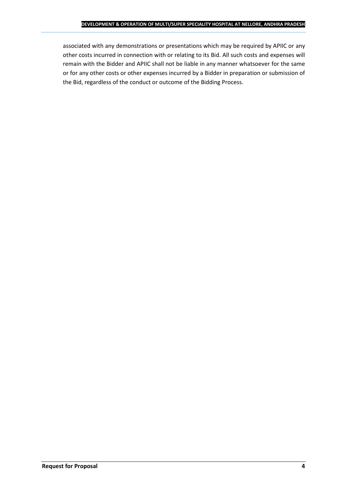associated with any demonstrations or presentations which may be required by APIIC or any other costs incurred in connection with or relating to its Bid. All such costs and expenses will remain with the Bidder and APIIC shall not be liable in any manner whatsoever for the same or for any other costs or other expenses incurred by a Bidder in preparation or submission of the Bid, regardless of the conduct or outcome of the Bidding Process.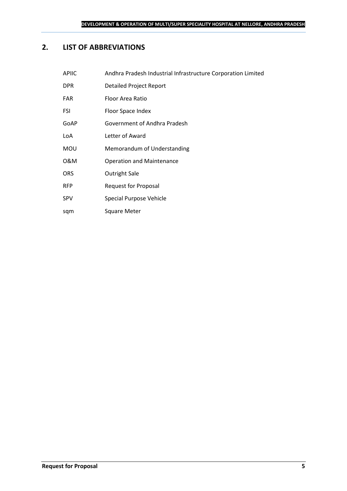## <span id="page-4-0"></span>**2. LIST OF ABBREVIATIONS**

sqm Square Meter

| Andhra Pradesh Industrial Infrastructure Corporation Limited |
|--------------------------------------------------------------|
| Detailed Project Report                                      |
| Floor Area Ratio                                             |
| Floor Space Index                                            |
| Government of Andhra Pradesh                                 |
| Letter of Award                                              |
| Memorandum of Understanding                                  |
| <b>Operation and Maintenance</b>                             |
| <b>Outright Sale</b>                                         |
| <b>Request for Proposal</b>                                  |
| Special Purpose Vehicle                                      |
|                                                              |

**Request for Proposal 5**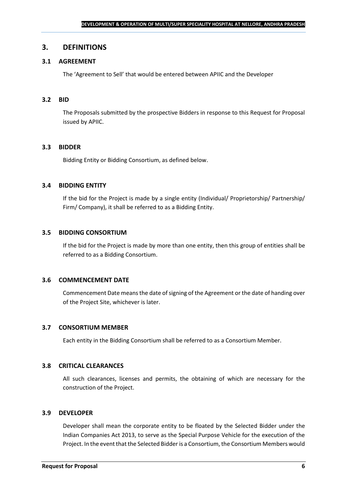## <span id="page-5-0"></span>**3. DEFINITIONS**

## **3.1 AGREEMENT**

The 'Agreement to Sell' that would be entered between APIIC and the Developer

#### **3.2 BID**

The Proposals submitted by the prospective Bidders in response to this Request for Proposal issued by APIIC.

#### **3.3 BIDDER**

Bidding Entity or Bidding Consortium, as defined below.

#### **3.4 BIDDING ENTITY**

If the bid for the Project is made by a single entity (Individual/ Proprietorship/ Partnership/ Firm/ Company), it shall be referred to as a Bidding Entity.

#### **3.5 BIDDING CONSORTIUM**

If the bid for the Project is made by more than one entity, then this group of entities shall be referred to as a Bidding Consortium.

#### **3.6 COMMENCEMENT DATE**

Commencement Date means the date of signing of the Agreement or the date of handing over of the Project Site, whichever is later.

#### **3.7 CONSORTIUM MEMBER**

Each entity in the Bidding Consortium shall be referred to as a Consortium Member.

#### **3.8 CRITICAL CLEARANCES**

All such clearances, licenses and permits, the obtaining of which are necessary for the construction of the Project.

#### **3.9 DEVELOPER**

Developer shall mean the corporate entity to be floated by the Selected Bidder under the Indian Companies Act 2013, to serve as the Special Purpose Vehicle for the execution of the Project. In the event that the Selected Bidder is a Consortium, the Consortium Members would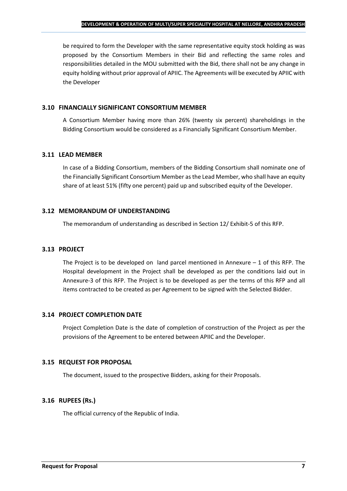be required to form the Developer with the same representative equity stock holding as was proposed by the Consortium Members in their Bid and reflecting the same roles and responsibilities detailed in the MOU submitted with the Bid, there shall not be any change in equity holding without prior approval of APIIC. The Agreements will be executed by APIIC with the Developer

### **3.10 FINANCIALLY SIGNIFICANT CONSORTIUM MEMBER**

A Consortium Member having more than 26% (twenty six percent) shareholdings in the Bidding Consortium would be considered as a Financially Significant Consortium Member.

## **3.11 LEAD MEMBER**

In case of a Bidding Consortium, members of the Bidding Consortium shall nominate one of the Financially Significant Consortium Member as the Lead Member, who shall have an equity share of at least 51% (fifty one percent) paid up and subscribed equity of the Developer.

## **3.12 MEMORANDUM OF UNDERSTANDING**

The memorandum of understanding as described in Section 12/ Exhibit-5 of this RFP.

## **3.13 PROJECT**

The Project is to be developed on land parcel mentioned in Annexure  $-1$  of this RFP. The Hospital development in the Project shall be developed as per the conditions laid out in Annexure-3 of this RFP. The Project is to be developed as per the terms of this RFP and all items contracted to be created as per Agreement to be signed with the Selected Bidder.

## **3.14 PROJECT COMPLETION DATE**

Project Completion Date is the date of completion of construction of the Project as per the provisions of the Agreement to be entered between APIIC and the Developer.

## **3.15 REQUEST FOR PROPOSAL**

The document, issued to the prospective Bidders, asking for their Proposals.

## **3.16 RUPEES (Rs.)**

The official currency of the Republic of India.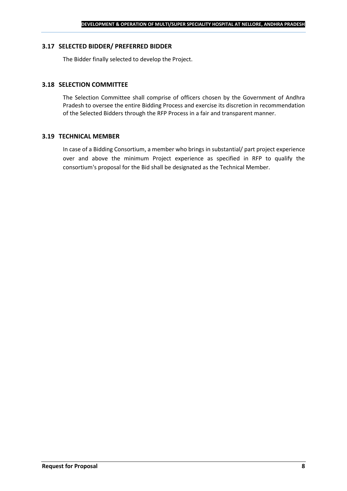#### **3.17 SELECTED BIDDER/ PREFERRED BIDDER**

The Bidder finally selected to develop the Project.

## **3.18 SELECTION COMMITTEE**

The Selection Committee shall comprise of officers chosen by the Government of Andhra Pradesh to oversee the entire Bidding Process and exercise its discretion in recommendation of the Selected Bidders through the RFP Process in a fair and transparent manner.

#### **3.19 TECHNICAL MEMBER**

In case of a Bidding Consortium, a member who brings in substantial/ part project experience over and above the minimum Project experience as specified in RFP to qualify the consortium's proposal for the Bid shall be designated as the Technical Member.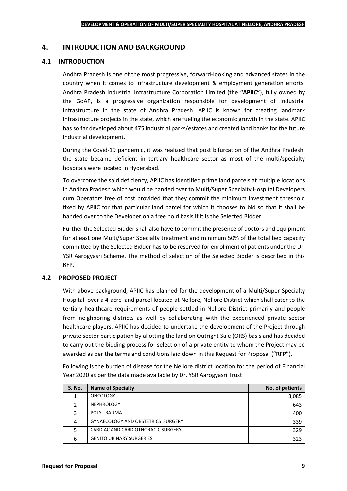## <span id="page-8-0"></span>**4. INTRODUCTION AND BACKGROUND**

## **4.1 INTRODUCTION**

Andhra Pradesh is one of the most progressive, forward-looking and advanced states in the country when it comes to infrastructure development & employment generation efforts. Andhra Pradesh Industrial Infrastructure Corporation Limited (the **"APIIC"**), fully owned by the GoAP, is a progressive organization responsible for development of Industrial Infrastructure in the state of Andhra Pradesh. APIIC is known for creating landmark infrastructure projects in the state, which are fueling the economic growth in the state. APIIC has so far developed about 475 industrial parks/estates and created land banks for the future industrial development.

During the Covid-19 pandemic, it was realized that post bifurcation of the Andhra Pradesh, the state became deficient in tertiary healthcare sector as most of the multi/specialty hospitals were located in Hyderabad.

To overcome the said deficiency, APIIC has identified prime land parcels at multiple locations in Andhra Pradesh which would be handed over to Multi/Super Specialty Hospital Developers cum Operators free of cost provided that they commit the minimum investment threshold fixed by APIIC for that particular land parcel for which it chooses to bid so that it shall be handed over to the Developer on a free hold basis if it is the Selected Bidder.

Further the Selected Bidder shall also have to commit the presence of doctors and equipment for atleast one Multi/Super Specialty treatment and minimum 50% of the total bed capacity committed by the Selected Bidder has to be reserved for enrollment of patients under the Dr. YSR Aarogyasri Scheme. The method of selection of the Selected Bidder is described in this RFP.

#### **4.2 PROPOSED PROJECT**

With above background, APIIC has planned for the development of a Multi/Super Specialty Hospital over a 4-acre land parcel located at Nellore, Nellore District which shall cater to the tertiary healthcare requirements of people settled in Nellore District primarily and people from neighboring districts as well by collaborating with the experienced private sector healthcare players. APIIC has decided to undertake the development of the Project through private sector participation by allotting the land on Outright Sale (ORS) basis and has decided to carry out the bidding process for selection of a private entity to whom the Project may be awarded as per the terms and conditions laid down in this Request for Proposal (**"RFP"**).

Following is the burden of disease for the Nellore district location for the period of Financial Year 2020 as per the data made available by Dr. YSR Aarogyasri Trust.

| <b>S. No.</b> | <b>Name of Specialty</b>           | No. of patients |
|---------------|------------------------------------|-----------------|
|               | <b>ONCOLOGY</b>                    | 3,085           |
|               | <b>NEPHROLOGY</b>                  | 643             |
|               | POLY TRAUMA                        | 400             |
|               | GYNAECOLOGY AND OBSTETRICS SURGERY | 339             |
|               | CARDIAC AND CARDIOTHORACIC SURGERY | 329             |
| 6             | <b>GENITO URINARY SURGERIES</b>    | 323             |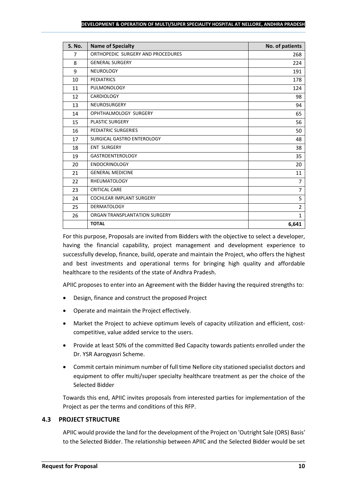#### **DEVELOPMENT & OPERATION OF MULTI/SUPER SPECIALITY HOSPITAL AT NELLORE, ANDHRA PRADESH**

| <b>S. No.</b>  | <b>Name of Specialty</b>          | No. of patients |
|----------------|-----------------------------------|-----------------|
| $\overline{7}$ | ORTHOPEDIC SURGERY AND PROCEDURES | 268             |
| 8              | <b>GENERAL SURGERY</b>            | 224             |
| 9              | <b>NEUROLOGY</b>                  | 191             |
| 10             | <b>PEDIATRICS</b>                 | 178             |
| 11             | PULMONOLOGY                       | 124             |
| 12             | <b>CARDIOLOGY</b>                 | 98              |
| 13             | <b>NEUROSURGERY</b>               | 94              |
| 14             | OPHTHALMOLOGY SURGERY             | 65              |
| 15             | <b>PLASTIC SURGERY</b>            | 56              |
| 16             | PEDIATRIC SURGERIES               | 50              |
| 17             | SURGICAL GASTRO ENTEROLOGY        | 48              |
| 18             | <b>ENT SURGERY</b>                | 38              |
| 19             | <b>GASTROENTEROLOGY</b>           | 35              |
| 20             | <b>ENDOCRINOLOGY</b>              | 20              |
| 21             | <b>GENERAL MEDICINE</b>           | 11              |
| 22             | <b>RHEUMATOLOGY</b>               | 7               |
| 23             | <b>CRITICAL CARE</b>              | $\overline{7}$  |
| 24             | <b>COCHLEAR IMPLANT SURGERY</b>   | 5               |
| 25             | <b>DERMATOLOGY</b>                | $\overline{2}$  |
| 26             | ORGAN TRANSPLANTATION SURGERY     | $\mathbf{1}$    |
|                | <b>TOTAL</b>                      | 6,641           |

For this purpose, Proposals are invited from Bidders with the objective to select a developer, having the financial capability, project management and development experience to successfully develop, finance, build, operate and maintain the Project, who offers the highest and best investments and operational terms for bringing high quality and affordable healthcare to the residents of the state of Andhra Pradesh.

APIIC proposes to enter into an Agreement with the Bidder having the required strengths to:

- Design, finance and construct the proposed Project
- Operate and maintain the Project effectively.
- Market the Project to achieve optimum levels of capacity utilization and efficient, costcompetitive, value added service to the users.
- Provide at least 50% of the committed Bed Capacity towards patients enrolled under the Dr. YSR Aarogyasri Scheme.
- Commit certain minimum number of full time Nellore city stationed specialist doctors and equipment to offer multi/super specialty healthcare treatment as per the choice of the Selected Bidder

Towards this end, APIIC invites proposals from interested parties for implementation of the Project as per the terms and conditions of this RFP.

## **4.3 PROJECT STRUCTURE**

APIIC would provide the land for the development of the Project on 'Outright Sale (ORS) Basis' to the Selected Bidder. The relationship between APIIC and the Selected Bidder would be set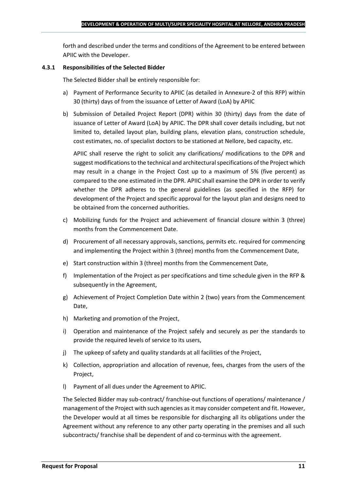forth and described under the terms and conditions of the Agreement to be entered between APIIC with the Developer.

### **4.3.1 Responsibilities of the Selected Bidder**

The Selected Bidder shall be entirely responsible for:

- a) Payment of Performance Security to APIIC (as detailed in Annexure-2 of this RFP) within 30 (thirty) days of from the issuance of Letter of Award (LoA) by APIIC
- b) Submission of Detailed Project Report (DPR) within 30 (thirty) days from the date of issuance of Letter of Award (LoA) by APIIC. The DPR shall cover details including, but not limited to, detailed layout plan, building plans, elevation plans, construction schedule, cost estimates, no. of specialist doctors to be stationed at Nellore, bed capacity, etc.

APIIC shall reserve the right to solicit any clarifications/ modifications to the DPR and suggest modifications to the technical and architectural specifications of the Project which may result in a change in the Project Cost up to a maximum of 5% (five percent) as compared to the one estimated in the DPR. APIIC shall examine the DPR in order to verify whether the DPR adheres to the general guidelines (as specified in the RFP) for development of the Project and specific approval for the layout plan and designs need to be obtained from the concerned authorities.

- c) Mobilizing funds for the Project and achievement of financial closure within 3 (three) months from the Commencement Date.
- d) Procurement of all necessary approvals, sanctions, permits etc. required for commencing and implementing the Project within 3 (three) months from the Commencement Date,
- e) Start construction within 3 (three) months from the Commencement Date,
- f) Implementation of the Project as per specifications and time schedule given in the RFP & subsequently in the Agreement,
- g) Achievement of Project Completion Date within 2 (two) years from the Commencement Date,
- h) Marketing and promotion of the Project,
- i) Operation and maintenance of the Project safely and securely as per the standards to provide the required levels of service to its users,
- j) The upkeep of safety and quality standards at all facilities of the Project,
- k) Collection, appropriation and allocation of revenue, fees, charges from the users of the Project,
- l) Payment of all dues under the Agreement to APIIC.

The Selected Bidder may sub-contract/ franchise-out functions of operations/ maintenance / management of the Project with such agencies as it may consider competent and fit. However, the Developer would at all times be responsible for discharging all its obligations under the Agreement without any reference to any other party operating in the premises and all such subcontracts/ franchise shall be dependent of and co-terminus with the agreement.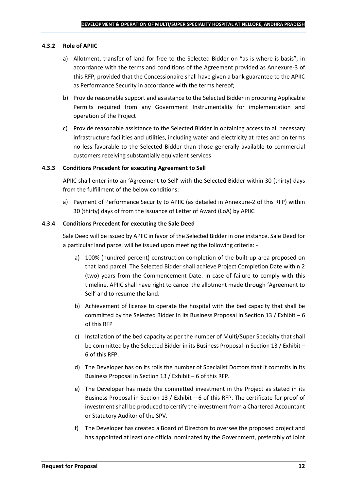#### **4.3.2 Role of APIIC**

- a) Allotment, transfer of land for free to the Selected Bidder on "as is where is basis", in accordance with the terms and conditions of the Agreement provided as Annexure-3 of this RFP, provided that the Concessionaire shall have given a bank guarantee to the APIIC as Performance Security in accordance with the terms hereof;
- b) Provide reasonable support and assistance to the Selected Bidder in procuring Applicable Permits required from any Government Instrumentality for implementation and operation of the Project
- c) Provide reasonable assistance to the Selected Bidder in obtaining access to all necessary infrastructure facilities and utilities, including water and electricity at rates and on terms no less favorable to the Selected Bidder than those generally available to commercial customers receiving substantially equivalent services

#### **4.3.3 Conditions Precedent for executing Agreement to Sell**

APIIC shall enter into an 'Agreement to Sell' with the Selected Bidder within 30 (thirty) days from the fulfillment of the below conditions:

a) Payment of Performance Security to APIIC (as detailed in Annexure-2 of this RFP) within 30 (thirty) days of from the issuance of Letter of Award (LoA) by APIIC

#### **4.3.4 Conditions Precedent for executing the Sale Deed**

Sale Deed will be issued by APIIC in favor of the Selected Bidder in one instance. Sale Deed for a particular land parcel will be issued upon meeting the following criteria: -

- a) 100% (hundred percent) construction completion of the built-up area proposed on that land parcel. The Selected Bidder shall achieve Project Completion Date within 2 (two) years from the Commencement Date. In case of failure to comply with this timeline, APIIC shall have right to cancel the allotment made through 'Agreement to Sell' and to resume the land.
- b) Achievement of license to operate the hospital with the bed capacity that shall be committed by the Selected Bidder in its Business Proposal in Section 13 / Exhibit – 6 of this RFP
- c) Installation of the bed capacity as per the number of Multi/Super Specialty that shall be committed by the Selected Bidder in its Business Proposal in Section 13 / Exhibit – 6 of this RFP.
- d) The Developer has on its rolls the number of Specialist Doctors that it commits in its Business Proposal in Section 13 / Exhibit – 6 of this RFP.
- e) The Developer has made the committed investment in the Project as stated in its Business Proposal in Section 13 / Exhibit – 6 of this RFP. The certificate for proof of investment shall be produced to certify the investment from a Chartered Accountant or Statutory Auditor of the SPV.
- f) The Developer has created a Board of Directors to oversee the proposed project and has appointed at least one official nominated by the Government, preferably of Joint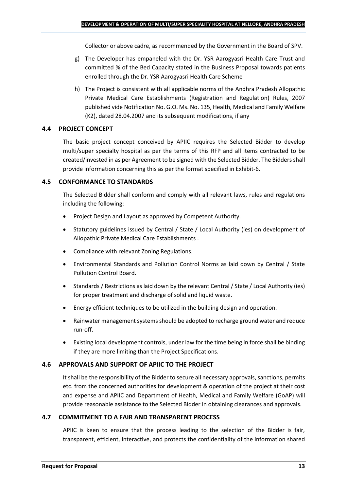Collector or above cadre, as recommended by the Government in the Board of SPV.

- g) The Developer has empaneled with the Dr. YSR Aarogyasri Health Care Trust and committed % of the Bed Capacity stated in the Business Proposal towards patients enrolled through the Dr. YSR Aarogyasri Health Care Scheme
- h) The Project is consistent with all applicable norms of the Andhra Pradesh Allopathic Private Medical Care Establishments (Registration and Regulation) Rules, 2007 published vide Notification No. G.O. Ms. No. 135, Health, Medical and Family Welfare (K2), dated 28.04.2007 and its subsequent modifications, if any

## **4.4 PROJECT CONCEPT**

The basic project concept conceived by APIIC requires the Selected Bidder to develop multi/super specialty hospital as per the terms of this RFP and all items contracted to be created/invested in as per Agreement to be signed with the Selected Bidder. The Bidders shall provide information concerning this as per the format specified in Exhibit-6.

## **4.5 CONFORMANCE TO STANDARDS**

The Selected Bidder shall conform and comply with all relevant laws, rules and regulations including the following:

- Project Design and Layout as approved by Competent Authority.
- Statutory guidelines issued by Central / State / Local Authority (ies) on development of Allopathic Private Medical Care Establishments .
- Compliance with relevant Zoning Regulations.
- Environmental Standards and Pollution Control Norms as laid down by Central / State Pollution Control Board.
- Standards / Restrictions as laid down by the relevant Central / State / Local Authority (ies) for proper treatment and discharge of solid and liquid waste.
- Energy efficient techniques to be utilized in the building design and operation.
- Rainwater management systems should be adopted to recharge ground water and reduce run-off.
- Existing local development controls, under law for the time being in force shall be binding if they are more limiting than the Project Specifications.

## **4.6 APPROVALS AND SUPPORT OF APIIC TO THE PROJECT**

It shall be the responsibility of the Bidder to secure all necessary approvals, sanctions, permits etc. from the concerned authorities for development & operation of the project at their cost and expense and APIIC and Department of Health, Medical and Family Welfare (GoAP) will provide reasonable assistance to the Selected Bidder in obtaining clearances and approvals.

#### **4.7 COMMITMENT TO A FAIR AND TRANSPARENT PROCESS**

APIIC is keen to ensure that the process leading to the selection of the Bidder is fair, transparent, efficient, interactive, and protects the confidentiality of the information shared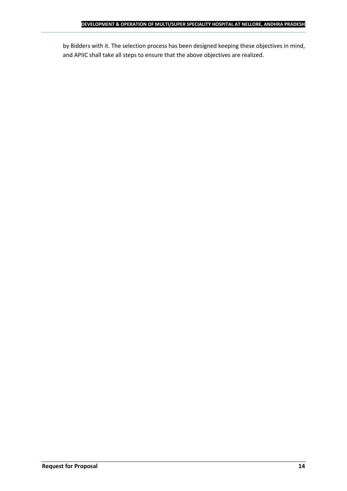by Bidders with it. The selection process has been designed keeping these objectives in mind, and APIIC shall take all steps to ensure that the above objectives are realized.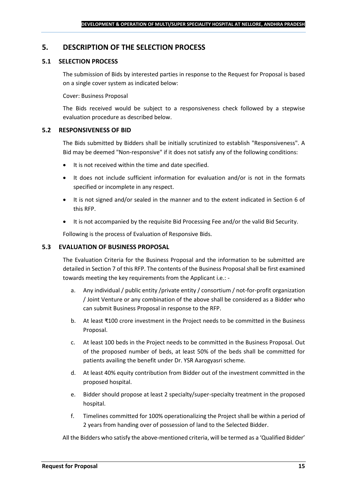## <span id="page-14-0"></span>**5. DESCRIPTION OF THE SELECTION PROCESS**

## **5.1 SELECTION PROCESS**

The submission of Bids by interested parties in response to the Request for Proposal is based on a single cover system as indicated below:

#### Cover: Business Proposal

The Bids received would be subject to a responsiveness check followed by a stepwise evaluation procedure as described below.

#### **5.2 RESPONSIVENESS OF BID**

The Bids submitted by Bidders shall be initially scrutinized to establish "Responsiveness". A Bid may be deemed "Non-responsive" if it does not satisfy any of the following conditions:

- It is not received within the time and date specified.
- It does not include sufficient information for evaluation and/or is not in the formats specified or incomplete in any respect.
- It is not signed and/or sealed in the manner and to the extent indicated in Section 6 of this RFP.
- It is not accompanied by the requisite Bid Processing Fee and/or the valid Bid Security.

Following is the process of Evaluation of Responsive Bids.

## **5.3 EVALUATION OF BUSINESS PROPOSAL**

The Evaluation Criteria for the Business Proposal and the information to be submitted are detailed in Section 7 of this RFP. The contents of the Business Proposal shall be first examined towards meeting the key requirements from the Applicant i.e.: -

- a. Any individual / public entity / private entity / consortium / not-for-profit organization / Joint Venture or any combination of the above shall be considered as a Bidder who can submit Business Proposal in response to the RFP.
- b. At least ₹100 crore investment in the Project needs to be committed in the Business Proposal.
- c. At least 100 beds in the Project needs to be committed in the Business Proposal. Out of the proposed number of beds, at least 50% of the beds shall be committed for patients availing the benefit under Dr. YSR Aarogyasri scheme.
- d. At least 40% equity contribution from Bidder out of the investment committed in the proposed hospital.
- e. Bidder should propose at least 2 specialty/super-specialty treatment in the proposed hospital.
- f. Timelines committed for 100% operationalizing the Project shall be within a period of 2 years from handing over of possession of land to the Selected Bidder.

All the Bidders who satisfy the above-mentioned criteria, will be termed as a 'Qualified Bidder'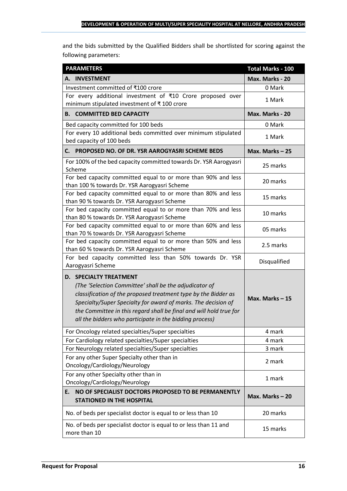and the bids submitted by the Qualified Bidders shall be shortlisted for scoring against the following parameters:

| <b>PARAMETERS</b>                                                                                                                                                                                                                                                                                                                                           | <b>Total Marks - 100</b> |
|-------------------------------------------------------------------------------------------------------------------------------------------------------------------------------------------------------------------------------------------------------------------------------------------------------------------------------------------------------------|--------------------------|
| A. INVESTMENT                                                                                                                                                                                                                                                                                                                                               | Max. Marks - 20          |
| Investment committed of ₹100 crore                                                                                                                                                                                                                                                                                                                          | 0 Mark                   |
| For every additional investment of ₹10 Crore proposed over<br>minimum stipulated investment of ₹100 crore                                                                                                                                                                                                                                                   | 1 Mark                   |
| <b>B. COMMITTED BED CAPACITY</b>                                                                                                                                                                                                                                                                                                                            | Max. Marks - 20          |
| Bed capacity committed for 100 beds                                                                                                                                                                                                                                                                                                                         | 0 Mark                   |
| For every 10 additional beds committed over minimum stipulated<br>bed capacity of 100 beds                                                                                                                                                                                                                                                                  | 1 Mark                   |
| PROPOSED NO. OF DR. YSR AAROGYASRI SCHEME BEDS<br>С.                                                                                                                                                                                                                                                                                                        | Max. Marks $-25$         |
| For 100% of the bed capacity committed towards Dr. YSR Aarogyasri<br>Scheme                                                                                                                                                                                                                                                                                 | 25 marks                 |
| For bed capacity committed equal to or more than 90% and less<br>than 100 % towards Dr. YSR Aarogyasri Scheme                                                                                                                                                                                                                                               | 20 marks                 |
| For bed capacity committed equal to or more than 80% and less<br>than 90 % towards Dr. YSR Aarogyasri Scheme                                                                                                                                                                                                                                                | 15 marks                 |
| For bed capacity committed equal to or more than 70% and less<br>than 80 % towards Dr. YSR Aarogyasri Scheme                                                                                                                                                                                                                                                | 10 marks                 |
| For bed capacity committed equal to or more than 60% and less<br>than 70 % towards Dr. YSR Aarogyasri Scheme                                                                                                                                                                                                                                                | 05 marks                 |
| For bed capacity committed equal to or more than 50% and less<br>than 60 % towards Dr. YSR Aarogyasri Scheme                                                                                                                                                                                                                                                | 2.5 marks                |
| For bed capacity committed less than 50% towards Dr. YSR<br>Aarogyasri Scheme                                                                                                                                                                                                                                                                               | Disqualified             |
| <b>D. SPECIALTY TREATMENT</b><br>(The 'Selection Committee' shall be the adjudicator of<br>classification of the proposed treatment type by the Bidder as<br>Specialty/Super Specialty for award of marks. The decision of<br>the Committee in this regard shall be final and will hold true for<br>all the bidders who participate in the bidding process) | Max. Marks - 15          |
| For Oncology related specialties/Super specialties                                                                                                                                                                                                                                                                                                          | 4 mark                   |
| For Cardiology related specialties/Super specialties                                                                                                                                                                                                                                                                                                        | 4 mark                   |
| For Neurology related specialties/Super specialties                                                                                                                                                                                                                                                                                                         | 3 mark                   |
| For any other Super Specialty other than in<br>Oncology/Cardiology/Neurology                                                                                                                                                                                                                                                                                | 2 mark                   |
| For any other Specialty other than in<br>Oncology/Cardiology/Neurology                                                                                                                                                                                                                                                                                      | 1 mark                   |
| NO OF SPECIALIST DOCTORS PROPOSED TO BE PERMANENTLY<br>E.<br><b>STATIONED IN THE HOSPITAL</b>                                                                                                                                                                                                                                                               | Max. Marks-20            |
| No. of beds per specialist doctor is equal to or less than 10                                                                                                                                                                                                                                                                                               | 20 marks                 |
| No. of beds per specialist doctor is equal to or less than 11 and<br>more than 10                                                                                                                                                                                                                                                                           | 15 marks                 |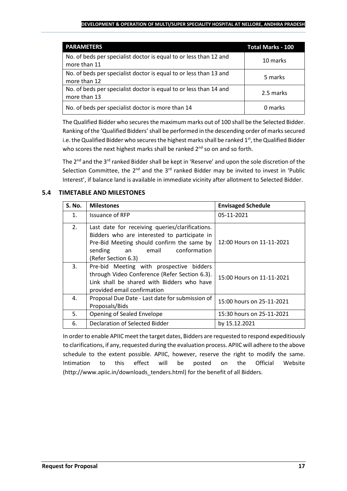#### **DEVELOPMENT & OPERATION OF MULTI/SUPER SPECIALITY HOSPITAL AT NELLORE, ANDHRA PRADESH**

| <b>PARAMETERS</b>                                                                 | <b>Total Marks - 100</b> |
|-----------------------------------------------------------------------------------|--------------------------|
| No. of beds per specialist doctor is equal to or less than 12 and<br>more than 11 | 10 marks                 |
| No. of beds per specialist doctor is equal to or less than 13 and<br>more than 12 | 5 marks                  |
| No. of beds per specialist doctor is equal to or less than 14 and<br>more than 13 | 2.5 marks                |
| No. of beds per specialist doctor is more than 14                                 | 0 marks                  |

The Qualified Bidder who securesthe maximum marks out of 100 shall be the Selected Bidder. Ranking of the 'Qualified Bidders'shall be performed in the descending order of marks secured i.e. the Qualified Bidder who secures the highest marks shall be ranked  $1<sup>st</sup>$ , the Qualified Bidder who scores the next highest marks shall be ranked  $2^{nd}$  so on and so forth.

The 2<sup>nd</sup> and the 3<sup>rd</sup> ranked Bidder shall be kept in 'Reserve' and upon the sole discretion of the Selection Committee, the  $2^{nd}$  and the  $3^{rd}$  ranked Bidder may be invited to invest in 'Public Interest', if balance land is available in immediate vicinity after allotment to Selected Bidder.

## **5.4 TIMETABLE AND MILESTONES**

| <b>S. No.</b>  | <b>Milestones</b>                                                                                                                                                                                              | <b>Envisaged Schedule</b> |
|----------------|----------------------------------------------------------------------------------------------------------------------------------------------------------------------------------------------------------------|---------------------------|
| $\mathbf{1}$ . | <b>Issuance of RFP</b>                                                                                                                                                                                         | 05-11-2021                |
| 2.             | Last date for receiving queries/clarifications.<br>Bidders who are interested to participate in<br>Pre-Bid Meeting should confirm the same by<br>conformation<br>sending<br>email<br>an<br>(Refer Section 6.3) | 12:00 Hours on 11-11-2021 |
| 3.             | Pre-bid Meeting with prospective bidders<br>through Video Conference (Refer Section 6.3).<br>Link shall be shared with Bidders who have<br>provided email confirmation                                         | 15:00 Hours on 11-11-2021 |
| 4.             | Proposal Due Date - Last date for submission of<br>Proposals/Bids                                                                                                                                              | 15:00 hours on 25-11-2021 |
| 5.             | Opening of Sealed Envelope                                                                                                                                                                                     | 15:30 hours on 25-11-2021 |
| 6.             | Declaration of Selected Bidder                                                                                                                                                                                 | by 15.12.2021             |

In order to enable APIIC meet the target dates, Bidders are requested to respond expeditiously to clarifications, if any, requested during the evaluation process. APIIC will adhere to the above schedule to the extent possible. APIIC, however, reserve the right to modify the same. Intimation to this effect will be posted on the Official Website (http://www.apiic.in/downloads\_tenders.html) for the benefit of all Bidders.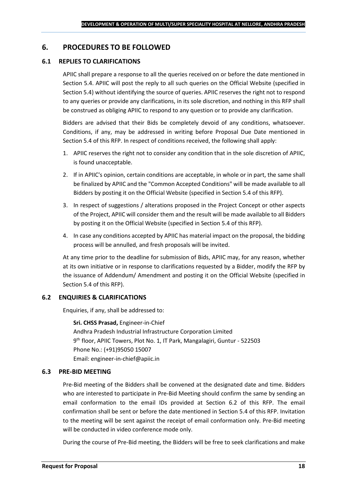## <span id="page-17-0"></span>**6. PROCEDURES TO BE FOLLOWED**

### **6.1 REPLIES TO CLARIFICATIONS**

APIIC shall prepare a response to all the queries received on or before the date mentioned in Section 5.4. APIIC will post the reply to all such queries on the Official Website (specified in Section 5.4) without identifying the source of queries. APIIC reserves the right not to respond to any queries or provide any clarifications, in its sole discretion, and nothing in this RFP shall be construed as obliging APIIC to respond to any question or to provide any clarification.

Bidders are advised that their Bids be completely devoid of any conditions, whatsoever. Conditions, if any, may be addressed in writing before Proposal Due Date mentioned in Section 5.4 of this RFP. In respect of conditions received, the following shall apply:

- 1. APIIC reserves the right not to consider any condition that in the sole discretion of APIIC, is found unacceptable.
- 2. If in APIIC's opinion, certain conditions are acceptable, in whole or in part, the same shall be finalized by APIIC and the "Common Accepted Conditions" will be made available to all Bidders by posting it on the Official Website (specified in Section 5.4 of this RFP).
- 3. In respect of suggestions / alterations proposed in the Project Concept or other aspects of the Project, APIIC will consider them and the result will be made available to all Bidders by posting it on the Official Website (specified in Section 5.4 of this RFP).
- 4. In case any conditions accepted by APIIC has material impact on the proposal, the bidding process will be annulled, and fresh proposals will be invited.

At any time prior to the deadline for submission of Bids, APIIC may, for any reason, whether at its own initiative or in response to clarifications requested by a Bidder, modify the RFP by the issuance of Addendum/ Amendment and posting it on the Official Website (specified in Section 5.4 of this RFP).

#### **6.2 ENQUIRIES & CLARIFICATIONS**

Enquiries, if any, shall be addressed to:

**Sri. CHSS Prasad,** Engineer-in-Chief Andhra Pradesh Industrial Infrastructure Corporation Limited 9 th floor, APIIC Towers, Plot No. 1, IT Park, Mangalagiri, Guntur - 522503 Phone No.: (+91)95050 15007 Email: engineer-in-chief@apiic.in

#### **6.3 PRE-BID MEETING**

Pre-Bid meeting of the Bidders shall be convened at the designated date and time. Bidders who are interested to participate in Pre-Bid Meeting should confirm the same by sending an email conformation to the email IDs provided at Section 6.2 of this RFP. The email confirmation shall be sent or before the date mentioned in Section 5.4 of this RFP. Invitation to the meeting will be sent against the receipt of email conformation only. Pre-Bid meeting will be conducted in video conference mode only.

During the course of Pre-Bid meeting, the Bidders will be free to seek clarifications and make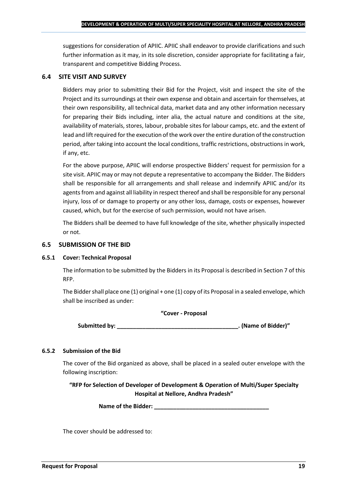suggestions for consideration of APIIC. APIIC shall endeavor to provide clarifications and such further information as it may, in its sole discretion, consider appropriate for facilitating a fair, transparent and competitive Bidding Process.

### **6.4 SITE VISIT AND SURVEY**

Bidders may prior to submitting their Bid for the Project, visit and inspect the site of the Project and its surroundings at their own expense and obtain and ascertain for themselves, at their own responsibility, all technical data, market data and any other information necessary for preparing their Bids including, inter alia, the actual nature and conditions at the site, availability of materials, stores, labour, probable sites for labour camps, etc. and the extent of lead and lift required for the execution of the work over the entire duration of the construction period, after taking into account the local conditions, traffic restrictions, obstructions in work, if any, etc.

For the above purpose, APIIC will endorse prospective Bidders' request for permission for a site visit. APIIC may or may not depute a representative to accompany the Bidder. The Bidders shall be responsible for all arrangements and shall release and indemnify APIIC and/or its agents from and against all liability in respect thereof and shall be responsible for any personal injury, loss of or damage to property or any other loss, damage, costs or expenses, however caused, which, but for the exercise of such permission, would not have arisen.

The Bidders shall be deemed to have full knowledge of the site, whether physically inspected or not.

### **6.5 SUBMISSION OF THE BID**

#### **6.5.1 Cover: Technical Proposal**

The information to be submitted by the Bidders in its Proposal is described in Section 7 of this RFP.

The Bidder shall place one (1) original + one (1) copy of its Proposal in a sealed envelope, which shall be inscribed as under:

#### **"Cover - Proposal**

**Submitted by: \_\_\_\_\_\_\_\_\_\_\_\_\_\_\_\_\_\_\_\_\_\_\_\_\_\_\_\_\_\_\_\_\_\_\_\_\_\_. (Name of Bidder)"**

#### **6.5.2 Submission of the Bid**

The cover of the Bid organized as above, shall be placed in a sealed outer envelope with the following inscription:

**"RFP for Selection of Developer of Development & Operation of Multi/Super Specialty Hospital at Nellore, Andhra Pradesh"**

Name of the Bidder: **We are also asset to a set of the Bidder:** 

The cover should be addressed to: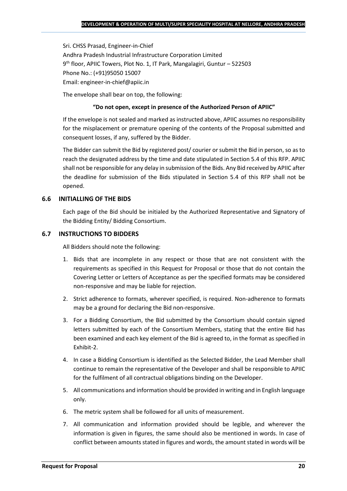Sri. CHSS Prasad, Engineer-in-Chief Andhra Pradesh Industrial Infrastructure Corporation Limited 9 th floor, APIIC Towers, Plot No. 1, IT Park, Mangalagiri, Guntur – 522503 Phone No.: (+91)95050 15007 Email: engineer-in-chief@apiic.in

The envelope shall bear on top, the following:

### **"Do not open, except in presence of the Authorized Person of APIIC"**

If the envelope is not sealed and marked as instructed above, APIIC assumes no responsibility for the misplacement or premature opening of the contents of the Proposal submitted and consequent losses, if any, suffered by the Bidder.

The Bidder can submit the Bid by registered post/ courier or submit the Bid in person, so as to reach the designated address by the time and date stipulated in Section 5.4 of this RFP. APIIC shall not be responsible for any delay in submission of the Bids. Any Bid received by APIIC after the deadline for submission of the Bids stipulated in Section 5.4 of this RFP shall not be opened.

## **6.6 INITIALLING OF THE BIDS**

Each page of the Bid should be initialed by the Authorized Representative and Signatory of the Bidding Entity/ Bidding Consortium.

## **6.7 INSTRUCTIONS TO BIDDERS**

All Bidders should note the following:

- 1. Bids that are incomplete in any respect or those that are not consistent with the requirements as specified in this Request for Proposal or those that do not contain the Covering Letter or Letters of Acceptance as per the specified formats may be considered non-responsive and may be liable for rejection.
- 2. Strict adherence to formats, wherever specified, is required. Non-adherence to formats may be a ground for declaring the Bid non-responsive.
- 3. For a Bidding Consortium, the Bid submitted by the Consortium should contain signed letters submitted by each of the Consortium Members, stating that the entire Bid has been examined and each key element of the Bid is agreed to, in the format as specified in Exhibit-2.
- 4. In case a Bidding Consortium is identified as the Selected Bidder, the Lead Member shall continue to remain the representative of the Developer and shall be responsible to APIIC for the fulfilment of all contractual obligations binding on the Developer.
- 5. All communications and information should be provided in writing and in English language only.
- 6. The metric system shall be followed for all units of measurement.
- 7. All communication and information provided should be legible, and wherever the information is given in figures, the same should also be mentioned in words. In case of conflict between amounts stated in figures and words, the amount stated in words will be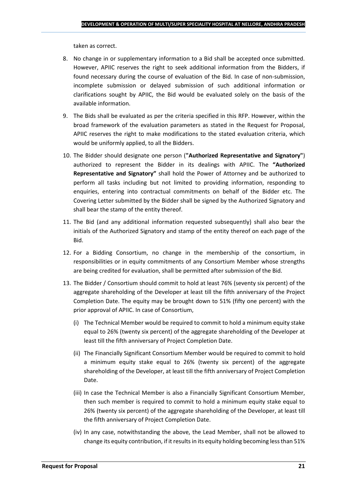taken as correct.

- 8. No change in or supplementary information to a Bid shall be accepted once submitted. However, APIIC reserves the right to seek additional information from the Bidders, if found necessary during the course of evaluation of the Bid. In case of non-submission, incomplete submission or delayed submission of such additional information or clarifications sought by APIIC, the Bid would be evaluated solely on the basis of the available information.
- 9. The Bids shall be evaluated as per the criteria specified in this RFP. However, within the broad framework of the evaluation parameters as stated in the Request for Proposal, APIIC reserves the right to make modifications to the stated evaluation criteria, which would be uniformly applied, to all the Bidders.
- 10. The Bidder should designate one person (**"Authorized Representative and Signatory"**) authorized to represent the Bidder in its dealings with APIIC. The **"Authorized Representative and Signatory"** shall hold the Power of Attorney and be authorized to perform all tasks including but not limited to providing information, responding to enquiries, entering into contractual commitments on behalf of the Bidder etc. The Covering Letter submitted by the Bidder shall be signed by the Authorized Signatory and shall bear the stamp of the entity thereof.
- 11. The Bid (and any additional information requested subsequently) shall also bear the initials of the Authorized Signatory and stamp of the entity thereof on each page of the Bid.
- 12. For a Bidding Consortium, no change in the membership of the consortium, in responsibilities or in equity commitments of any Consortium Member whose strengths are being credited for evaluation, shall be permitted after submission of the Bid.
- 13. The Bidder / Consortium should commit to hold at least 76% (seventy six percent) of the aggregate shareholding of the Developer at least till the fifth anniversary of the Project Completion Date. The equity may be brought down to 51% (fifty one percent) with the prior approval of APIIC. In case of Consortium,
	- (i) The Technical Member would be required to commit to hold a minimum equity stake equal to 26% (twenty six percent) of the aggregate shareholding of the Developer at least till the fifth anniversary of Project Completion Date.
	- (ii) The Financially Significant Consortium Member would be required to commit to hold a minimum equity stake equal to 26% (twenty six percent) of the aggregate shareholding of the Developer, at least till the fifth anniversary of Project Completion Date.
	- (iii) In case the Technical Member is also a Financially Significant Consortium Member, then such member is required to commit to hold a minimum equity stake equal to 26% (twenty six percent) of the aggregate shareholding of the Developer, at least till the fifth anniversary of Project Completion Date.
	- (iv) In any case, notwithstanding the above, the Lead Member, shall not be allowed to change its equity contribution, if it results in its equity holding becoming less than 51%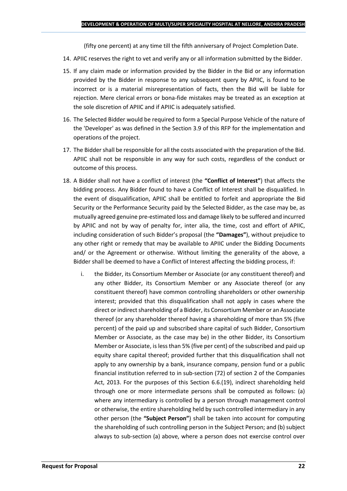(fifty one percent) at any time till the fifth anniversary of Project Completion Date.

- 14. APIIC reserves the right to vet and verify any or all information submitted by the Bidder.
- 15. If any claim made or information provided by the Bidder in the Bid or any information provided by the Bidder in response to any subsequent query by APIIC, is found to be incorrect or is a material misrepresentation of facts, then the Bid will be liable for rejection. Mere clerical errors or bona-fide mistakes may be treated as an exception at the sole discretion of APIIC and if APIIC is adequately satisfied.
- 16. The Selected Bidder would be required to form a Special Purpose Vehicle of the nature of the 'Developer' as was defined in the Section 3.9 of this RFP for the implementation and operations of the project.
- 17. The Bidder shall be responsible for all the costs associated with the preparation of the Bid. APIIC shall not be responsible in any way for such costs, regardless of the conduct or outcome of this process.
- 18. A Bidder shall not have a conflict of interest (the **"Conflict of Interest"**) that affects the bidding process. Any Bidder found to have a Conflict of Interest shall be disqualified. In the event of disqualification, APIIC shall be entitled to forfeit and appropriate the Bid Security or the Performance Security paid by the Selected Bidder, as the case may be, as mutually agreed genuine pre-estimated loss and damage likely to be suffered and incurred by APIIC and not by way of penalty for, inter alia, the time, cost and effort of APIIC, including consideration of such Bidder's proposal (the **"Damages"**), without prejudice to any other right or remedy that may be available to APIIC under the Bidding Documents and/ or the Agreement or otherwise. Without limiting the generality of the above, a Bidder shall be deemed to have a Conflict of Interest affecting the bidding process, if:
	- i. the Bidder, its Consortium Member or Associate (or any constituent thereof) and any other Bidder, its Consortium Member or any Associate thereof (or any constituent thereof) have common controlling shareholders or other ownership interest; provided that this disqualification shall not apply in cases where the direct or indirect shareholding of a Bidder, its Consortium Member or an Associate thereof (or any shareholder thereof having a shareholding of more than 5% (five percent) of the paid up and subscribed share capital of such Bidder, Consortium Member or Associate, as the case may be) in the other Bidder, its Consortium Member or Associate, is less than 5% (five per cent) of the subscribed and paid up equity share capital thereof; provided further that this disqualification shall not apply to any ownership by a bank, insurance company, pension fund or a public financial institution referred to in sub-section (72) of section 2 of the Companies Act, 2013. For the purposes of this Section 6.6.(19), indirect shareholding held through one or more intermediate persons shall be computed as follows: (a) where any intermediary is controlled by a person through management control or otherwise, the entire shareholding held by such controlled intermediary in any other person (the **"Subject Person"**) shall be taken into account for computing the shareholding of such controlling person in the Subject Person; and (b) subject always to sub-section (a) above, where a person does not exercise control over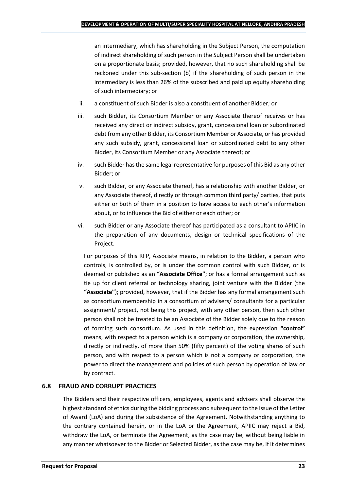an intermediary, which has shareholding in the Subject Person, the computation of indirect shareholding of such person in the Subject Person shall be undertaken on a proportionate basis; provided, however, that no such shareholding shall be reckoned under this sub-section (b) if the shareholding of such person in the intermediary is less than 26% of the subscribed and paid up equity shareholding of such intermediary; or

- ii. a constituent of such Bidder is also a constituent of another Bidder; or
- iii. such Bidder, its Consortium Member or any Associate thereof receives or has received any direct or indirect subsidy, grant, concessional loan or subordinated debt from any other Bidder, its Consortium Member or Associate, or has provided any such subsidy, grant, concessional loan or subordinated debt to any other Bidder, its Consortium Member or any Associate thereof; or
- iv. such Bidder has the same legal representative for purposes of this Bid as any other Bidder; or
- v. such Bidder, or any Associate thereof, has a relationship with another Bidder, or any Associate thereof, directly or through common third party/ parties, that puts either or both of them in a position to have access to each other's information about, or to influence the Bid of either or each other; or
- vi. such Bidder or any Associate thereof has participated as a consultant to APIIC in the preparation of any documents, design or technical specifications of the Project.

For purposes of this RFP, Associate means, in relation to the Bidder, a person who controls, is controlled by, or is under the common control with such Bidder, or is deemed or published as an **"Associate Office"**; or has a formal arrangement such as tie up for client referral or technology sharing, joint venture with the Bidder (the **"Associate"**); provided, however, that if the Bidder has any formal arrangement such as consortium membership in a consortium of advisers/ consultants for a particular assignment/ project, not being this project, with any other person, then such other person shall not be treated to be an Associate of the Bidder solely due to the reason of forming such consortium. As used in this definition, the expression **"control"**  means, with respect to a person which is a company or corporation, the ownership, directly or indirectly, of more than 50% (fifty percent) of the voting shares of such person, and with respect to a person which is not a company or corporation, the power to direct the management and policies of such person by operation of law or by contract.

## **6.8 FRAUD AND CORRUPT PRACTICES**

The Bidders and their respective officers, employees, agents and advisers shall observe the highest standard of ethics during the bidding process and subsequent to the issue of the Letter of Award (LoA) and during the subsistence of the Agreement. Notwithstanding anything to the contrary contained herein, or in the LoA or the Agreement, APIIC may reject a Bid, withdraw the LoA, or terminate the Agreement, as the case may be, without being liable in any manner whatsoever to the Bidder or Selected Bidder, as the case may be, if it determines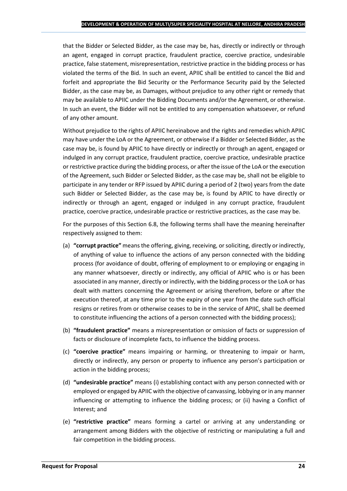that the Bidder or Selected Bidder, as the case may be, has, directly or indirectly or through an agent, engaged in corrupt practice, fraudulent practice, coercive practice, undesirable practice, false statement, misrepresentation, restrictive practice in the bidding process or has violated the terms of the Bid. In such an event, APIIC shall be entitled to cancel the Bid and forfeit and appropriate the Bid Security or the Performance Security paid by the Selected Bidder, as the case may be, as Damages, without prejudice to any other right or remedy that may be available to APIIC under the Bidding Documents and/or the Agreement, or otherwise. In such an event, the Bidder will not be entitled to any compensation whatsoever, or refund of any other amount.

Without prejudice to the rights of APIIC hereinabove and the rights and remedies which APIIC may have under the LoA or the Agreement, or otherwise if a Bidder or Selected Bidder, as the case may be, is found by APIIC to have directly or indirectly or through an agent, engaged or indulged in any corrupt practice, fraudulent practice, coercive practice, undesirable practice or restrictive practice during the bidding process, or after the issue of the LoA or the execution of the Agreement, such Bidder or Selected Bidder, as the case may be, shall not be eligible to participate in any tender or RFP issued by APIIC during a period of 2 (two) years from the date such Bidder or Selected Bidder, as the case may be, is found by APIIC to have directly or indirectly or through an agent, engaged or indulged in any corrupt practice, fraudulent practice, coercive practice, undesirable practice or restrictive practices, as the case may be.

For the purposes of this Section 6.8, the following terms shall have the meaning hereinafter respectively assigned to them:

- (a) **"corrupt practice"** means the offering, giving, receiving, or soliciting, directly or indirectly, of anything of value to influence the actions of any person connected with the bidding process (for avoidance of doubt, offering of employment to or employing or engaging in any manner whatsoever, directly or indirectly, any official of APIIC who is or has been associated in any manner, directly or indirectly, with the bidding process or the LoA or has dealt with matters concerning the Agreement or arising therefrom, before or after the execution thereof, at any time prior to the expiry of one year from the date such official resigns or retires from or otherwise ceases to be in the service of APIIC, shall be deemed to constitute influencing the actions of a person connected with the bidding process);
- (b) **"fraudulent practice"** means a misrepresentation or omission of facts or suppression of facts or disclosure of incomplete facts, to influence the bidding process.
- (c) **"coercive practice"** means impairing or harming, or threatening to impair or harm, directly or indirectly, any person or property to influence any person's participation or action in the bidding process;
- (d) **"undesirable practice"** means (i) establishing contact with any person connected with or employed or engaged by APIIC with the objective of canvassing, lobbying or in any manner influencing or attempting to influence the bidding process; or (ii) having a Conflict of Interest; and
- (e) **"restrictive practice"** means forming a cartel or arriving at any understanding or arrangement among Bidders with the objective of restricting or manipulating a full and fair competition in the bidding process.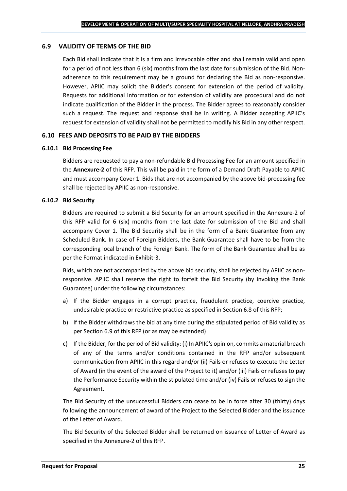### **6.9 VALIDITY OF TERMS OF THE BID**

Each Bid shall indicate that it is a firm and irrevocable offer and shall remain valid and open for a period of not less than 6 (six) months from the last date for submission of the Bid. Nonadherence to this requirement may be a ground for declaring the Bid as non-responsive. However, APIIC may solicit the Bidder's consent for extension of the period of validity. Requests for additional Information or for extension of validity are procedural and do not indicate qualification of the Bidder in the process. The Bidder agrees to reasonably consider such a request. The request and response shall be in writing. A Bidder accepting APIIC's request for extension of validity shall not be permitted to modify his Bid in any other respect.

#### **6.10 FEES AND DEPOSITS TO BE PAID BY THE BIDDERS**

#### **6.10.1 Bid Processing Fee**

Bidders are requested to pay a non-refundable Bid Processing Fee for an amount specified in the **Annexure-2** of this RFP. This will be paid in the form of a Demand Draft Payable to APIIC and must accompany Cover 1. Bids that are not accompanied by the above bid-processing fee shall be rejected by APIIC as non-responsive.

#### **6.10.2 Bid Security**

Bidders are required to submit a Bid Security for an amount specified in the Annexure-2 of this RFP valid for 6 (six) months from the last date for submission of the Bid and shall accompany Cover 1. The Bid Security shall be in the form of a Bank Guarantee from any Scheduled Bank. In case of Foreign Bidders, the Bank Guarantee shall have to be from the corresponding local branch of the Foreign Bank. The form of the Bank Guarantee shall be as per the Format indicated in Exhibit-3.

Bids, which are not accompanied by the above bid security, shall be rejected by APIIC as nonresponsive. APIIC shall reserve the right to forfeit the Bid Security (by invoking the Bank Guarantee) under the following circumstances:

- a) If the Bidder engages in a corrupt practice, fraudulent practice, coercive practice, undesirable practice or restrictive practice as specified in Section 6.8 of this RFP;
- b) If the Bidder withdraws the bid at any time during the stipulated period of Bid validity as per Section 6.9 of this RFP (or as may be extended)
- c) If the Bidder, for the period of Bid validity: (i) In APIIC's opinion, commits a material breach of any of the terms and/or conditions contained in the RFP and/or subsequent communication from APIIC in this regard and/or (ii) Fails or refuses to execute the Letter of Award (in the event of the award of the Project to it) and/or (iii) Fails or refuses to pay the Performance Security within the stipulated time and/or (iv) Fails or refuses to sign the Agreement.

The Bid Security of the unsuccessful Bidders can cease to be in force after 30 (thirty) days following the announcement of award of the Project to the Selected Bidder and the issuance of the Letter of Award.

The Bid Security of the Selected Bidder shall be returned on issuance of Letter of Award as specified in the Annexure-2 of this RFP.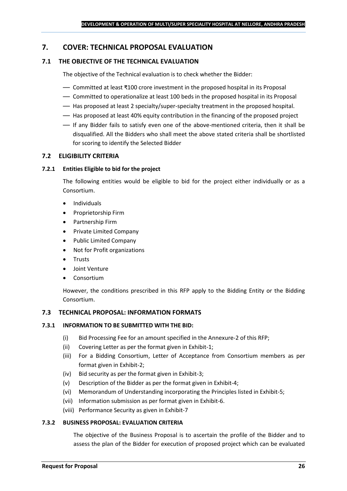## <span id="page-25-0"></span>**7. COVER: TECHNICAL PROPOSAL EVALUATION**

## **7.1 THE OBJECTIVE OF THE TECHNICAL EVALUATION**

The objective of the Technical evaluation is to check whether the Bidder:

- Committed at least ₹100 crore investment in the proposed hospital in its Proposal
- Committed to operationalize at least 100 beds in the proposed hospital in its Proposal
- Has proposed at least 2 specialty/super-specialty treatment in the proposed hospital.
- Has proposed at least 40% equity contribution in the financing of the proposed project
- If any Bidder fails to satisfy even one of the above-mentioned criteria, then it shall be disqualified. All the Bidders who shall meet the above stated criteria shall be shortlisted for scoring to identify the Selected Bidder

## **7.2 ELIGIBILITY CRITERIA**

#### **7.2.1 Entities Eligible to bid for the project**

The following entities would be eligible to bid for the project either individually or as a Consortium.

- Individuals
- Proprietorship Firm
- Partnership Firm
- Private Limited Company
- Public Limited Company
- Not for Profit organizations
- Trusts
- Joint Venture
- **Consortium**

However, the conditions prescribed in this RFP apply to the Bidding Entity or the Bidding Consortium.

#### **7.3 TECHNICAL PROPOSAL: INFORMATION FORMATS**

#### **7.3.1 INFORMATION TO BE SUBMITTED WITH THE BID:**

- (i) Bid Processing Fee for an amount specified in the Annexure-2 of this RFP;
- (ii) Covering Letter as per the format given in Exhibit-1;
- (iii) For a Bidding Consortium, Letter of Acceptance from Consortium members as per format given in Exhibit-2;
- (iv) Bid security as per the format given in Exhibit-3;
- (v) Description of the Bidder as per the format given in Exhibit-4;
- (vi) Memorandum of Understanding incorporating the Principles listed in Exhibit-5;
- (vii) Information submission as per format given in Exhibit-6.
- (viii) Performance Security as given in Exhibit-7

#### **7.3.2 BUSINESS PROPOSAL: EVALUATION CRITERIA**

The objective of the Business Proposal is to ascertain the profile of the Bidder and to assess the plan of the Bidder for execution of proposed project which can be evaluated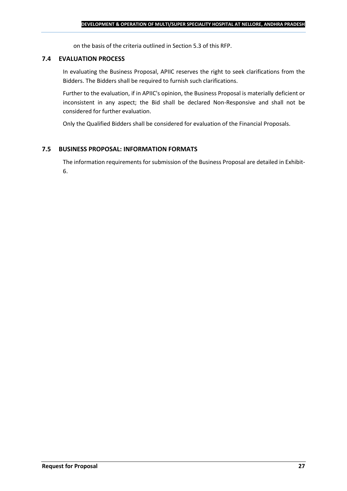on the basis of the criteria outlined in Section 5.3 of this RFP.

#### **7.4 EVALUATION PROCESS**

In evaluating the Business Proposal, APIIC reserves the right to seek clarifications from the Bidders. The Bidders shall be required to furnish such clarifications.

Further to the evaluation, if in APIIC's opinion, the Business Proposal is materially deficient or inconsistent in any aspect; the Bid shall be declared Non-Responsive and shall not be considered for further evaluation.

Only the Qualified Bidders shall be considered for evaluation of the Financial Proposals.

## **7.5 BUSINESS PROPOSAL: INFORMATION FORMATS**

The information requirements for submission of the Business Proposal are detailed in Exhibit-6.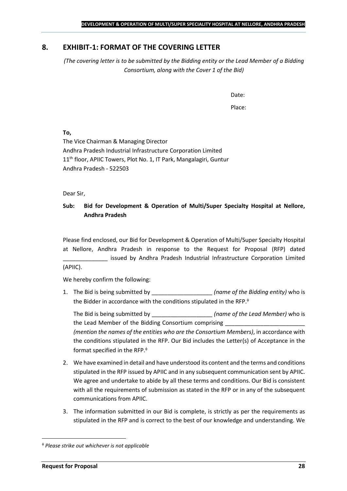## <span id="page-27-0"></span>**8. EXHIBIT-1: FORMAT OF THE COVERING LETTER**

*(The covering letter is to be submitted by the Bidding entity or the Lead Member of a Bidding Consortium, along with the Cover 1 of the Bid)*

Date:

Place:

**To,**

The Vice Chairman & Managing Director Andhra Pradesh Industrial Infrastructure Corporation Limited 11<sup>th</sup> floor, APIIC Towers, Plot No. 1, IT Park, Mangalagiri, Guntur Andhra Pradesh - 522503

Dear Sir,

## **Sub: Bid for Development & Operation of Multi/Super Specialty Hospital at Nellore, Andhra Pradesh**

Please find enclosed, our Bid for Development & Operation of Multi/Super Specialty Hospital at Nellore, Andhra Pradesh in response to the Request for Proposal (RFP) dated issued by Andhra Pradesh Industrial Infrastructure Corporation Limited (APIIC).

We hereby confirm the following:

1. The Bid is being submitted by **the intervalle in the Sidding entity**) who is the Bidder in accordance with the conditions stipulated in the RFP.

The Bid is being submitted by **the inclusive in the Solution Contract Contract Contract Contract Contract Contract Contract Contract Contract Contract Contract Contract Contract Contract Contract Contract Contract Contract** the Lead Member of the Bidding Consortium comprising *(mention the names of the entities who are the Consortium Members)*, in accordance with the conditions stipulated in the RFP. Our Bid includes the Letter(s) of Acceptance in the format specified in the RFP.

- 2. We have examined in detail and have understood its content and the terms and conditions stipulated in the RFP issued by APIIC and in any subsequent communication sent by APIIC. We agree and undertake to abide by all these terms and conditions. Our Bid is consistent with all the requirements of submission as stated in the RFP or in any of the subsequent communications from APIIC.
- 3. The information submitted in our Bid is complete, is strictly as per the requirements as stipulated in the RFP and is correct to the best of our knowledge and understanding. We

*Please strike out whichever is not applicable*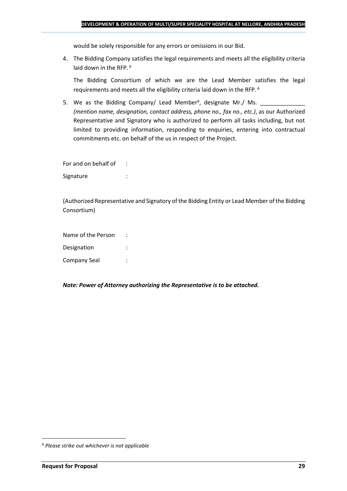would be solely responsible for any errors or omissions in our Bid.

4. The Bidding Company satisfies the legal requirements and meets all the eligibility criteria laid down in the RFP.  $\phi$ 

The Bidding Consortium of which we are the Lead Member satisfies the legal requirements and meets all the eligibility criteria laid down in the RFP.

5. We as the Bidding Company/ Lead Member<sup> $\phi$ </sup>, designate Mr./ Ms.  $\frac{1}{\sqrt{1-\frac{1}{2}}\sqrt{1-\frac{1}{2}}\sqrt{1-\frac{1}{2}}\sqrt{1-\frac{1}{2}}\sqrt{1-\frac{1}{2}}\sqrt{1-\frac{1}{2}}\sqrt{1-\frac{1}{2}}\sqrt{1-\frac{1}{2}}\sqrt{1-\frac{1}{2}}\sqrt{1-\frac{1}{2}}\sqrt{1-\frac{1}{2}}\sqrt{1-\frac{1}{2}}\sqrt{1-\frac{1}{2}}\sqrt{1$ *(mention name, designation, contact address, phone no., fax no., etc.)*, as our Authorized Representative and Signatory who is authorized to perform all tasks including, but not limited to providing information, responding to enquiries, entering into contractual commitments etc. on behalf of the us in respect of the Project.

For and on behalf of : Signature : the state of the state of the state of the state of the state of the state of the state of the state of the state of the state of the state of the state of the state of the state of the state of the state of th

(Authorized Representative and Signatory of the Bidding Entity or Lead Member of the Bidding Consortium)

Name of the Person : Designation : Company Seal :

*Note: Power of Attorney authorizing the Representative is to be attached.*

*Please strike out whichever is not applicable*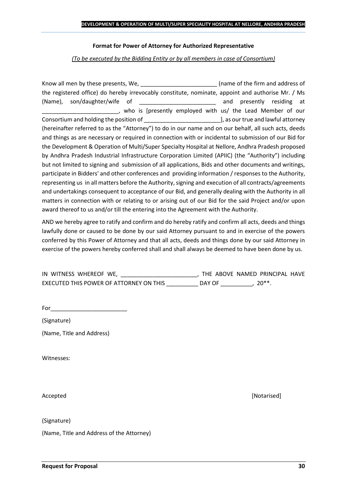#### **Format for Power of Attorney for Authorized Representative**

*(To be executed by the Bidding Entity or by all members in case of Consortium)*

Know all men by these presents, We, the state of the firm and address of the registered office) do hereby irrevocably constitute, nominate, appoint and authorise Mr. / Ms (Name), son/daughter/wife of \_\_\_\_\_\_\_\_\_\_\_\_\_\_\_\_\_\_\_\_\_\_\_\_ and presently residing at \_\_\_\_\_\_\_\_\_\_\_\_\_\_\_\_\_\_\_\_\_\_\_\_, who is [presently employed with us/ the Lead Member of our Consortium and holding the position of  $\Box$  . The position of  $\Box$  as our true and lawful attorney (hereinafter referred to as the "Attorney") to do in our name and on our behalf, all such acts, deeds and things as are necessary or required in connection with or incidental to submission of our Bid for the Development & Operation of Multi/Super Specialty Hospital at Nellore, Andhra Pradesh proposed by Andhra Pradesh Industrial Infrastructure Corporation Limited (APIIC) (the "Authority") including but not limited to signing and submission of all applications, Bids and other documents and writings, participate in Bidders' and other conferences and providing information / responses to the Authority, representing us in all matters before the Authority, signing and execution of all contracts/agreements and undertakings consequent to acceptance of our Bid, and generally dealing with the Authority in all matters in connection with or relating to or arising out of our Bid for the said Project and/or upon award thereof to us and/or till the entering into the Agreement with the Authority.

AND we hereby agree to ratify and confirm and do hereby ratify and confirm all acts, deeds and things lawfully done or caused to be done by our said Attorney pursuant to and in exercise of the powers conferred by this Power of Attorney and that all acts, deeds and things done by our said Attorney in exercise of the powers hereby conferred shall and shall always be deemed to have been done by us.

| IN WITNESS WHEREOF WE,                  |        | THE ABOVE NAMED PRINCIPAL HAVE |  |
|-----------------------------------------|--------|--------------------------------|--|
| EXECUTED THIS POWER OF ATTORNEY ON THIS | DAY OF | $20**$                         |  |

For  $\qquad$ 

(Signature)

(Name, Title and Address)

Witnesses:

(Signature)

(Name, Title and Address of the Attorney)

Accepted **[Notarised] Accepted** *Maximum Maximum Maximum Maximum Maximum <i>Maximum Maximum Maximum <i>Maximum Maximum Maximum <i>Maximum Maximum Maximum <i>Maximum Maximum*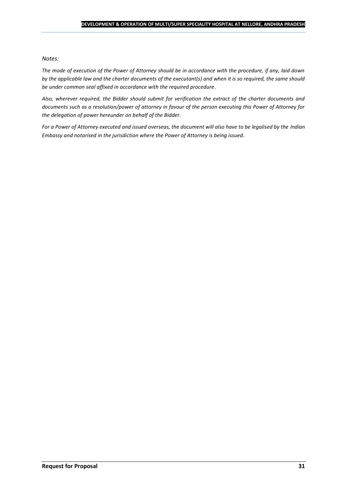#### *Notes:*

*The mode of execution of the Power of Attorney should be in accordance with the procedure, if any, laid down by the applicable law and the charter documents of the executant(s) and when it is so required, the same should be under common seal affixed in accordance with the required procedure*.

*Also, wherever required, the Bidder should submit for verification the extract of the charter documents and documents such as a resolution/power of attorney in favour of the person executing this Power of Attorney for the delegation of power hereunder on behalf of the Bidder.* 

For a Power of Attorney executed and issued overseas, the document will also have to be legalised by the *Indian Embassy and notarised in the jurisdiction where the Power of Attorney is being issued.*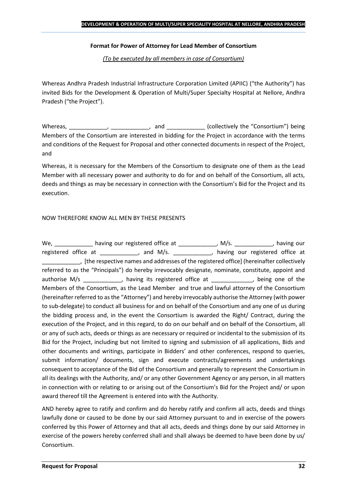## **Format for Power of Attorney for Lead Member of Consortium**

*(To be executed by all members in case of Consortium)*

Whereas Andhra Pradesh Industrial Infrastructure Corporation Limited (APIIC) ("the Authority") has invited Bids for the Development & Operation of Multi/Super Specialty Hospital at Nellore, Andhra Pradesh ("the Project").

Whereas, \_\_\_\_\_\_\_\_\_\_\_\_, \_\_\_\_\_\_\_\_\_\_\_, and \_\_\_\_\_\_\_\_\_\_\_\_ (collectively the "Consortium") being Members of the Consortium are interested in bidding for the Project in accordance with the terms and conditions of the Request for Proposal and other connected documents in respect of the Project, and

Whereas, it is necessary for the Members of the Consortium to designate one of them as the Lead Member with all necessary power and authority to do for and on behalf of the Consortium, all acts, deeds and things as may be necessary in connection with the Consortium's Bid for the Project and its execution.

## NOW THEREFORE KNOW ALL MEN BY THESE PRESENTS

We, \_\_\_\_\_\_\_\_\_\_\_\_\_ having our registered office at \_\_\_\_\_\_\_\_\_\_\_\_\_, M/s. \_\_\_\_\_\_\_\_\_\_\_, having our registered office at \_\_\_\_\_\_\_\_\_\_\_, and M/s. \_\_\_\_\_\_\_\_\_\_\_, having our registered office at \_\_\_\_\_\_\_\_\_\_\_\_, [the respective names and addresses of the registered office] (hereinafter collectively referred to as the "Principals") do hereby irrevocably designate, nominate, constitute, appoint and authorise M/s \_\_\_\_\_\_\_\_\_\_\_, having its registered office at \_\_\_\_\_\_\_\_\_\_\_, being one of the Members of the Consortium, as the Lead Member and true and lawful attorney of the Consortium (hereinafter referred to as the "Attorney") and hereby irrevocably authorise the Attorney (with power to sub-delegate) to conduct all business for and on behalf of the Consortium and any one of us during the bidding process and, in the event the Consortium is awarded the Right/ Contract, during the execution of the Project, and in this regard, to do on our behalf and on behalf of the Consortium, all or any of such acts, deeds or things as are necessary or required or incidental to the submission of its Bid for the Project, including but not limited to signing and submission of all applications, Bids and other documents and writings, participate in Bidders' and other conferences, respond to queries, submit information/ documents, sign and execute contracts/agreements and undertakings consequent to acceptance of the Bid of the Consortium and generally to represent the Consortium in all its dealings with the Authority, and/ or any other Government Agency or any person, in all matters in connection with or relating to or arising out of the Consortium's Bid for the Project and/ or upon award thereof till the Agreement is entered into with the Authority.

AND hereby agree to ratify and confirm and do hereby ratify and confirm all acts, deeds and things lawfully done or caused to be done by our said Attorney pursuant to and in exercise of the powers conferred by this Power of Attorney and that all acts, deeds and things done by our said Attorney in exercise of the powers hereby conferred shall and shall always be deemed to have been done by us/ Consortium.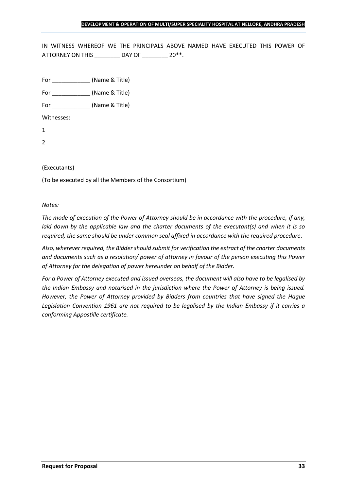IN WITNESS WHEREOF WE THE PRINCIPALS ABOVE NAMED HAVE EXECUTED THIS POWER OF ATTORNEY ON THIS \_\_\_\_\_\_\_\_ DAY OF \_\_\_\_\_\_\_ 20\*\*.

For \_\_\_\_\_\_\_\_\_\_\_\_ (Name & Title)

For  $(Name & Title)$ 

Witnesses:

1

2

## (Executants)

(To be executed by all the Members of the Consortium)

*Notes:* 

*The mode of execution of the Power of Attorney should be in accordance with the procedure, if any, laid down by the applicable law and the charter documents of the executant(s) and when it is so required, the same should be under common seal affixed in accordance with the required procedure*.

*Also, wherever required, the Bidder should submit for verification the extract of the charter documents and documents such as a resolution/ power of attorney in favour of the person executing this Power of Attorney for the delegation of power hereunder on behalf of the Bidder.* 

*For a Power of Attorney executed and issued overseas, the document will also have to be legalised by the Indian Embassy and notarised in the jurisdiction where the Power of Attorney is being issued. However, the Power of Attorney provided by Bidders from countries that have signed the Hague Legislation Convention 1961 are not required to be legalised by the Indian Embassy if it carries a conforming Appostille certificate.*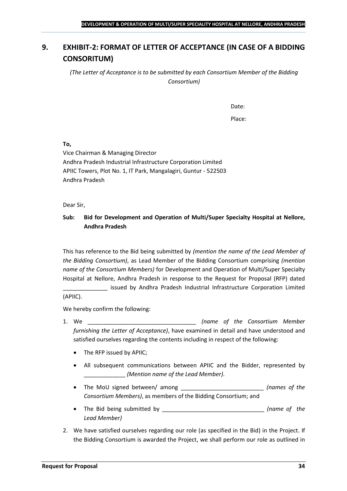## <span id="page-33-0"></span>**9. EXHIBIT-2: FORMAT OF LETTER OF ACCEPTANCE (IN CASE OF A BIDDING CONSORITUM)**

*(The Letter of Acceptance is to be submitted by each Consortium Member of the Bidding Consortium)*

Date:

Place:

**To,**

Vice Chairman & Managing Director Andhra Pradesh Industrial Infrastructure Corporation Limited APIIC Towers, Plot No. 1, IT Park, Mangalagiri, Guntur - 522503 Andhra Pradesh

Dear Sir,

## **Sub: Bid for Development and Operation of Multi/Super Specialty Hospital at Nellore, Andhra Pradesh**

This has reference to the Bid being submitted by *(mention the name of the Lead Member of the Bidding Consortium)*, as Lead Member of the Bidding Consortium comprising *(mention name of the Consortium Members)* for Development and Operation of Multi/Super Specialty Hospital at Nellore, Andhra Pradesh in response to the Request for Proposal (RFP) dated

\_\_\_\_\_\_\_\_\_\_\_\_\_\_ issued by Andhra Pradesh Industrial Infrastructure Corporation Limited (APIIC).

We hereby confirm the following:

- 1. We \_\_\_\_\_\_\_\_\_\_\_\_\_\_\_\_\_\_\_\_\_\_\_\_\_\_\_\_\_\_\_\_\_\_ *(name of the Consortium Member furnishing the Letter of Acceptance)*, have examined in detail and have understood and satisfied ourselves regarding the contents including in respect of the following:
	- The RFP issued by APIIC;
	- All subsequent communications between APIIC and the Bidder, represented by \_\_\_\_\_\_\_\_\_\_\_\_\_ *(Mention name of the Lead Member)*.
	- The MoU signed between/ among \_\_\_\_\_\_\_\_\_\_\_\_\_\_\_\_\_\_\_\_\_\_\_\_\_\_ *(names of the Consortium Members)*, as members of the Bidding Consortium; and
	- The Bid being submitted by \_\_\_\_\_\_\_\_\_\_\_\_\_\_\_\_\_\_\_\_\_\_\_\_\_\_\_\_\_\_\_\_ *(name of the Lead Member)*
- 2. We have satisfied ourselves regarding our role (as specified in the Bid) in the Project. If the Bidding Consortium is awarded the Project, we shall perform our role as outlined in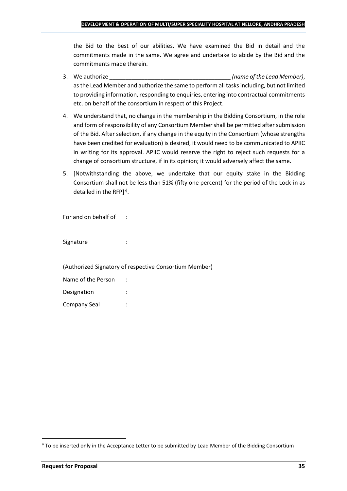the Bid to the best of our abilities. We have examined the Bid in detail and the commitments made in the same. We agree and undertake to abide by the Bid and the commitments made therein.

- 3. We authorize \_\_\_\_\_\_\_\_\_\_\_\_\_\_\_\_\_\_\_\_\_\_\_\_\_\_\_\_\_\_\_\_\_\_\_\_\_\_ *(name of the Lead Member)*, as the Lead Member and authorize the same to perform all tasks including, but not limited to providing information, responding to enquiries, entering into contractual commitments etc. on behalf of the consortium in respect of this Project.
- 4. We understand that, no change in the membership in the Bidding Consortium, in the role and form of responsibility of any Consortium Member shall be permitted after submission of the Bid. After selection, if any change in the equity in the Consortium (whose strengths have been credited for evaluation) is desired, it would need to be communicated to APIIC in writing for its approval. APIIC would reserve the right to reject such requests for a change of consortium structure, if in its opinion; it would adversely affect the same.
- 5. [Notwithstanding the above, we undertake that our equity stake in the Bidding Consortium shall not be less than 51% (fifty one percent) for the period of the Lock-in as detailed in the RFP] $\triangleq$ .

For and on behalf of :

Signature : :

(Authorized Signatory of respective Consortium Member)

| Name of the Person |  |
|--------------------|--|
| Designation        |  |
| Company Seal       |  |

To be inserted only in the Acceptance Letter to be submitted by Lead Member of the Bidding Consortium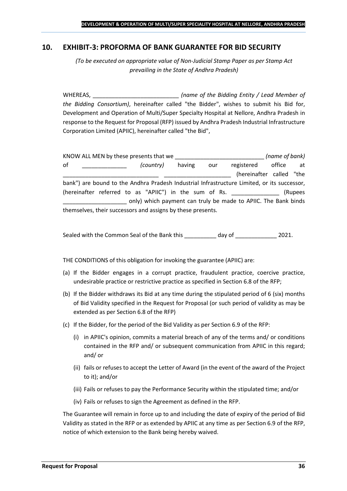## <span id="page-35-0"></span>**10. EXHIBIT-3: PROFORMA OF BANK GUARANTEE FOR BID SECURITY**

*(To be executed on appropriate value of Non-Judicial Stamp Paper as per Stamp Act prevailing in the State of Andhra Pradesh)*

WHEREAS, \_\_\_\_\_\_\_\_\_\_\_\_\_\_\_\_\_\_\_\_\_\_\_\_\_\_\_ *(name of the Bidding Entity / Lead Member of the Bidding Consortium)*, hereinafter called "the Bidder", wishes to submit his Bid for, Development and Operation of Multi/Super Specialty Hospital at Nellore, Andhra Pradesh in response to the Request for Proposal (RFP) issued by Andhra Pradesh Industrial Infrastructure Corporation Limited (APIIC), hereinafter called "the Bid",

KNOW ALL MEN by these presents that we \_\_\_\_\_\_\_\_\_\_\_\_\_\_\_\_\_\_\_\_\_\_\_\_\_\_\_\_ *(name of bank)* of \_\_\_\_\_\_\_\_\_\_\_\_\_\_ *(country)* having our registered office at (hereinafter called "the bank") are bound to the Andhra Pradesh Industrial Infrastructure Limited, or its successor, (hereinafter referred to as "APIIC") in the sum of Rs. \_\_\_\_\_\_\_\_\_\_\_\_\_\_\_ (Rupees \_\_\_\_\_\_\_\_\_\_\_\_\_\_\_\_\_\_\_\_ only) which payment can truly be made to APIIC. The Bank binds themselves, their successors and assigns by these presents.

Sealed with the Common Seal of the Bank this day of  $\qquad \qquad$  2021.

THE CONDITIONS of this obligation for invoking the guarantee (APIIC) are:

- (a) If the Bidder engages in a corrupt practice, fraudulent practice, coercive practice, undesirable practice or restrictive practice as specified in Section 6.8 of the RFP;
- (b) If the Bidder withdraws its Bid at any time during the stipulated period of 6 (six) months of Bid Validity specified in the Request for Proposal (or such period of validity as may be extended as per Section 6.8 of the RFP)
- (c) If the Bidder, for the period of the Bid Validity as per Section 6.9 of the RFP:
	- (i) in APIIC's opinion, commits a material breach of any of the terms and/ or conditions contained in the RFP and/ or subsequent communication from APIIC in this regard; and/ or
	- (ii) fails or refuses to accept the Letter of Award (in the event of the award of the Project to it); and/or
	- (iii) Fails or refuses to pay the Performance Security within the stipulated time; and/or
	- (iv) Fails or refuses to sign the Agreement as defined in the RFP.

The Guarantee will remain in force up to and including the date of expiry of the period of Bid Validity as stated in the RFP or as extended by APIIC at any time as per Section 6.9 of the RFP, notice of which extension to the Bank being hereby waived.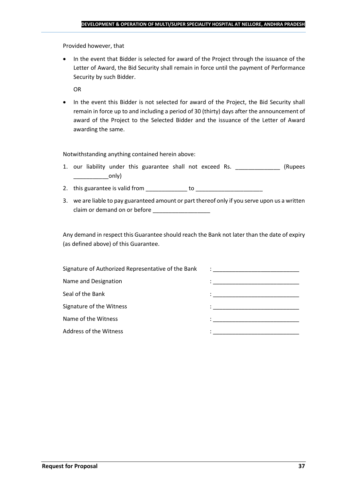Provided however, that

• In the event that Bidder is selected for award of the Project through the issuance of the Letter of Award, the Bid Security shall remain in force until the payment of Performance Security by such Bidder.

OR

• In the event this Bidder is not selected for award of the Project, the Bid Security shall remain in force up to and including a period of 30 (thirty) days after the announcement of award of the Project to the Selected Bidder and the issuance of the Letter of Award awarding the same.

Notwithstanding anything contained herein above:

- 1. our liability under this guarantee shall not exceed Rs. \_\_\_\_\_\_\_\_\_\_\_\_\_\_\_ (Rupees \_\_\_\_\_\_\_\_\_\_\_only)
- 2. this guarantee is valid from to be to to to the state of the state of the state of the state of the state o
- 3. we are liable to pay guaranteed amount or part thereof only if you serve upon us a written claim or demand on or before

Any demand in respect this Guarantee should reach the Bank not later than the date of expiry (as defined above) of this Guarantee.

| Signature of Authorized Representative of the Bank | $\mathcal{L}=\frac{1}{\sqrt{2\pi}}\left\{ \frac{1}{\sqrt{2\pi}}\right\}$                                                              |
|----------------------------------------------------|---------------------------------------------------------------------------------------------------------------------------------------|
| Name and Designation                               | the contract of the contract of the contract of the contract of the contract of the contract of                                       |
| Seal of the Bank                                   | the control of the control of the control of the control of the control of                                                            |
| Signature of the Witness                           |                                                                                                                                       |
| Name of the Witness                                | en de la componentación de la componentación de la componentación de la componentación de la componentación de<br>A la componentación |
| Address of the Witness                             |                                                                                                                                       |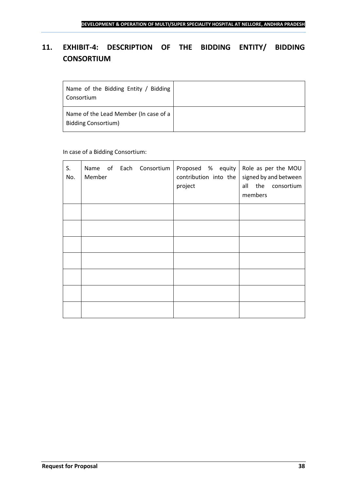## <span id="page-37-0"></span>**11. EXHIBIT-4: DESCRIPTION OF THE BIDDING ENTITY/ BIDDING CONSORTIUM**

| Name of the Bidding Entity / Bidding<br>Consortium                  |  |
|---------------------------------------------------------------------|--|
| Name of the Lead Member (In case of a<br><b>Bidding Consortium)</b> |  |

## In case of a Bidding Consortium:

| S.<br>No. | Name of Each Consortium   Proposed % equity   Role as per the MOU<br>Member | contribution into the<br>project | signed by and between<br>all the consortium<br>members |
|-----------|-----------------------------------------------------------------------------|----------------------------------|--------------------------------------------------------|
|           |                                                                             |                                  |                                                        |
|           |                                                                             |                                  |                                                        |
|           |                                                                             |                                  |                                                        |
|           |                                                                             |                                  |                                                        |
|           |                                                                             |                                  |                                                        |
|           |                                                                             |                                  |                                                        |
|           |                                                                             |                                  |                                                        |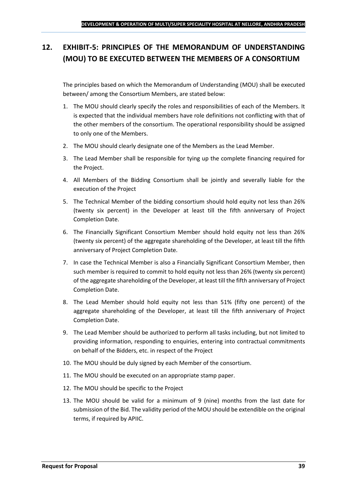## <span id="page-38-0"></span>**12. EXHIBIT-5: PRINCIPLES OF THE MEMORANDUM OF UNDERSTANDING (MOU) TO BE EXECUTED BETWEEN THE MEMBERS OF A CONSORTIUM**

The principles based on which the Memorandum of Understanding (MOU) shall be executed between/ among the Consortium Members, are stated below:

- 1. The MOU should clearly specify the roles and responsibilities of each of the Members. It is expected that the individual members have role definitions not conflicting with that of the other members of the consortium. The operational responsibility should be assigned to only one of the Members.
- 2. The MOU should clearly designate one of the Members as the Lead Member.
- 3. The Lead Member shall be responsible for tying up the complete financing required for the Project.
- 4. All Members of the Bidding Consortium shall be jointly and severally liable for the execution of the Project
- 5. The Technical Member of the bidding consortium should hold equity not less than 26% (twenty six percent) in the Developer at least till the fifth anniversary of Project Completion Date.
- 6. The Financially Significant Consortium Member should hold equity not less than 26% (twenty six percent) of the aggregate shareholding of the Developer, at least till the fifth anniversary of Project Completion Date.
- 7. In case the Technical Member is also a Financially Significant Consortium Member, then such member is required to commit to hold equity not less than 26% (twenty six percent) of the aggregate shareholding of the Developer, at least till the fifth anniversary of Project Completion Date.
- 8. The Lead Member should hold equity not less than 51% (fifty one percent) of the aggregate shareholding of the Developer, at least till the fifth anniversary of Project Completion Date.
- 9. The Lead Member should be authorized to perform all tasks including, but not limited to providing information, responding to enquiries, entering into contractual commitments on behalf of the Bidders, etc. in respect of the Project
- 10. The MOU should be duly signed by each Member of the consortium.
- 11. The MOU should be executed on an appropriate stamp paper.
- 12. The MOU should be specific to the Project
- 13. The MOU should be valid for a minimum of 9 (nine) months from the last date for submission of the Bid. The validity period of the MOU should be extendible on the original terms, if required by APIIC.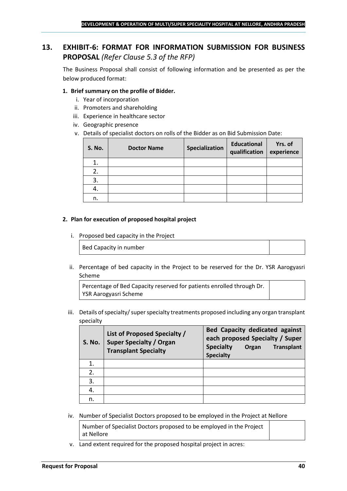## <span id="page-39-0"></span>**13. EXHIBIT-6: FORMAT FOR INFORMATION SUBMISSION FOR BUSINESS PROPOSAL** *(Refer Clause 5.3 of the RFP)*

The Business Proposal shall consist of following information and be presented as per the below produced format:

## **1. Brief summary on the profile of Bidder.**

- i. Year of incorporation
- ii. Promoters and shareholding
- iii. Experience in healthcare sector
- iv. Geographic presence
- v. Details of specialist doctors on rolls of the Bidder as on Bid Submission Date:

| <b>S. No.</b> | <b>Doctor Name</b> | Specialization | <b>Educational</b><br>qualification | Yrs. of<br>experience |
|---------------|--------------------|----------------|-------------------------------------|-----------------------|
|               |                    |                |                                     |                       |
| 2.            |                    |                |                                     |                       |
| 3.            |                    |                |                                     |                       |
| 4.            |                    |                |                                     |                       |
| n.            |                    |                |                                     |                       |

#### **2. Plan for execution of proposed hospital project**

i. Proposed bed capacity in the Project

Bed Capacity in number

ii. Percentage of bed capacity in the Project to be reserved for the Dr. YSR Aarogyasri Scheme

Percentage of Bed Capacity reserved for patients enrolled through Dr. YSR Aarogyasri Scheme

iii. Details of specialty/ super specialty treatments proposed including any organ transplant specialty

| <b>S. No.</b> | List of Proposed Specialty /<br><b>Super Specialty / Organ</b><br><b>Transplant Specialty</b> | <b>Bed Capacity dedicated against</b><br>each proposed Specialty / Super<br><b>Specialty</b><br><b>Transplant</b><br>Organ<br><b>Specialty</b> |
|---------------|-----------------------------------------------------------------------------------------------|------------------------------------------------------------------------------------------------------------------------------------------------|
|               |                                                                                               |                                                                                                                                                |
| 2.            |                                                                                               |                                                                                                                                                |
| 3.            |                                                                                               |                                                                                                                                                |
| 4.            |                                                                                               |                                                                                                                                                |
| n.            |                                                                                               |                                                                                                                                                |

iv. Number of Specialist Doctors proposed to be employed in the Project at Nellore

Number of Specialist Doctors proposed to be employed in the Project at Nellore

v. Land extent required for the proposed hospital project in acres: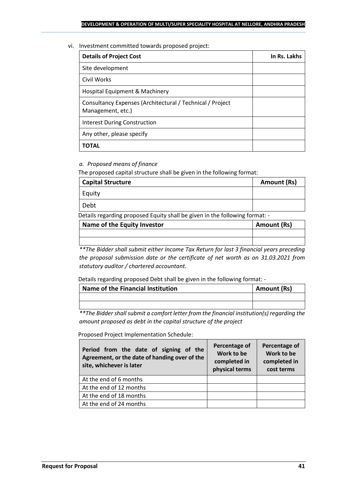#### vi. Investment committed towards proposed project:

| <b>Details of Project Cost</b>                                                 | In Rs. Lakhs |
|--------------------------------------------------------------------------------|--------------|
| Site development                                                               |              |
| Civil Works                                                                    |              |
| Hospital Equipment & Machinery                                                 |              |
| Consultancy Expenses (Architectural / Technical / Project<br>Management, etc.) |              |
| Interest During Construction                                                   |              |
| Any other, please specify                                                      |              |
| ΤΟΤΑL                                                                          |              |

## *a. Proposed means of finance*

The proposed capital structure shall be given in the following format:

| <b>Capital Structure</b> | Amount (Rs) |
|--------------------------|-------------|
| Equity                   |             |
| Debt                     |             |

Details regarding proposed Equity shall be given in the following format: -

| Name of the Equity Investor | Amount (Rs) |
|-----------------------------|-------------|
|                             |             |
|                             |             |

*\*\*The Bidder shall submit either Income Tax Return for last 3 financial years preceding the proposal submission date or the certificate of net worth as on 31.03.2021 from statutory auditor / chartered accountant.*

Details regarding proposed Debt shall be given in the following format: -

| Name of the Financial Institution | Amount (Rs) |
|-----------------------------------|-------------|
|                                   |             |
|                                   |             |

*\*\*The Bidder shall submit a comfort letter from the financial institution(s) regarding the amount proposed as debt in the capital structure of the project*

Proposed Project Implementation Schedule:

| Period from the date of signing of the<br>Agreement, or the date of handing over of the<br>site, whichever is later | Percentage of<br>Work to be<br>completed in<br>physical terms | Percentage of<br>Work to be<br>completed in<br>cost terms |
|---------------------------------------------------------------------------------------------------------------------|---------------------------------------------------------------|-----------------------------------------------------------|
| At the end of 6 months                                                                                              |                                                               |                                                           |
| At the end of 12 months                                                                                             |                                                               |                                                           |
| At the end of 18 months                                                                                             |                                                               |                                                           |
| At the end of 24 months                                                                                             |                                                               |                                                           |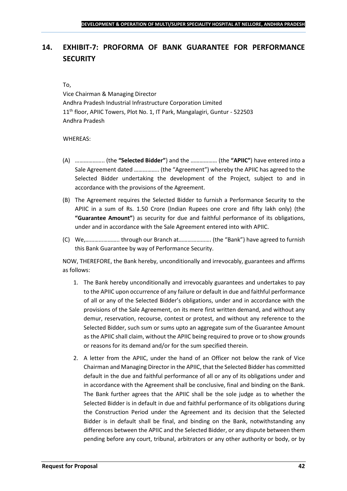## <span id="page-41-0"></span>**14. EXHIBIT-7: PROFORMA OF BANK GUARANTEE FOR PERFORMANCE SECURITY**

#### To,

Vice Chairman & Managing Director Andhra Pradesh Industrial Infrastructure Corporation Limited 11<sup>th</sup> floor, APIIC Towers, Plot No. 1, IT Park, Mangalagiri, Guntur - 522503 Andhra Pradesh

#### WHEREAS:

- (A) ……………….. (the **"Selected Bidder"**) and the ……………… (the **"APIIC"**) have entered into a Sale Agreement dated …………….. (the "Agreement") whereby the APIIC has agreed to the Selected Bidder undertaking the development of the Project, subject to and in accordance with the provisions of the Agreement.
- (B) The Agreement requires the Selected Bidder to furnish a Performance Security to the APIIC in a sum of Rs. 1.50 Crore (Indian Rupees one crore and fifty lakh only) (the **"Guarantee Amount"**) as security for due and faithful performance of its obligations, under and in accordance with the Sale Agreement entered into with APIIC.
- (C) We,………………….. through our Branch at…………………. (the "Bank") have agreed to furnish this Bank Guarantee by way of Performance Security.

NOW, THEREFORE, the Bank hereby, unconditionally and irrevocably, guarantees and affirms as follows:

- 1. The Bank hereby unconditionally and irrevocably guarantees and undertakes to pay to the APIIC upon occurrence of any failure or default in due and faithful performance of all or any of the Selected Bidder's obligations, under and in accordance with the provisions of the Sale Agreement, on its mere first written demand, and without any demur, reservation, recourse, contest or protest, and without any reference to the Selected Bidder, such sum or sums upto an aggregate sum of the Guarantee Amount as the APIIC shall claim, without the APIIC being required to prove or to show grounds or reasons for its demand and/or for the sum specified therein.
- 2. A letter from the APIIC, under the hand of an Officer not below the rank of Vice Chairman and Managing Director in the APIIC, that the Selected Bidder has committed default in the due and faithful performance of all or any of its obligations under and in accordance with the Agreement shall be conclusive, final and binding on the Bank. The Bank further agrees that the APIIC shall be the sole judge as to whether the Selected Bidder is in default in due and faithful performance of its obligations during the Construction Period under the Agreement and its decision that the Selected Bidder is in default shall be final, and binding on the Bank, notwithstanding any differences between the APIIC and the Selected Bidder, or any dispute between them pending before any court, tribunal, arbitrators or any other authority or body, or by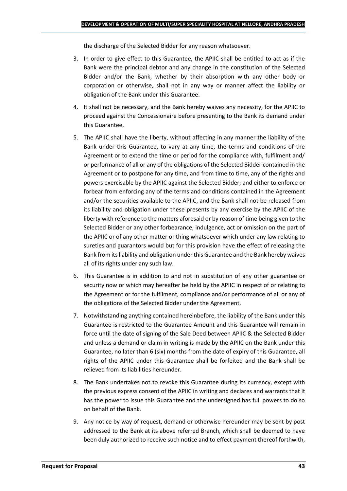the discharge of the Selected Bidder for any reason whatsoever.

- 3. In order to give effect to this Guarantee, the APIIC shall be entitled to act as if the Bank were the principal debtor and any change in the constitution of the Selected Bidder and/or the Bank, whether by their absorption with any other body or corporation or otherwise, shall not in any way or manner affect the liability or obligation of the Bank under this Guarantee.
- 4. It shall not be necessary, and the Bank hereby waives any necessity, for the APIIC to proceed against the Concessionaire before presenting to the Bank its demand under this Guarantee.
- 5. The APIIC shall have the liberty, without affecting in any manner the liability of the Bank under this Guarantee, to vary at any time, the terms and conditions of the Agreement or to extend the time or period for the compliance with, fulfilment and/ or performance of all or any of the obligations of the Selected Bidder contained in the Agreement or to postpone for any time, and from time to time, any of the rights and powers exercisable by the APIIC against the Selected Bidder, and either to enforce or forbear from enforcing any of the terms and conditions contained in the Agreement and/or the securities available to the APIIC, and the Bank shall not be released from its liability and obligation under these presents by any exercise by the APIIC of the liberty with reference to the matters aforesaid or by reason of time being given to the Selected Bidder or any other forbearance, indulgence, act or omission on the part of the APIIC or of any other matter or thing whatsoever which under any law relating to sureties and guarantors would but for this provision have the effect of releasing the Bank from its liability and obligation under this Guarantee and the Bank hereby waives all of its rights under any such law.
- 6. This Guarantee is in addition to and not in substitution of any other guarantee or security now or which may hereafter be held by the APIIC in respect of or relating to the Agreement or for the fulfilment, compliance and/or performance of all or any of the obligations of the Selected Bidder under the Agreement.
- 7. Notwithstanding anything contained hereinbefore, the liability of the Bank under this Guarantee is restricted to the Guarantee Amount and this Guarantee will remain in force until the date of signing of the Sale Deed between APIIC & the Selected Bidder and unless a demand or claim in writing is made by the APIIC on the Bank under this Guarantee, no later than 6 (six) months from the date of expiry of this Guarantee, all rights of the APIIC under this Guarantee shall be forfeited and the Bank shall be relieved from its liabilities hereunder.
- 8. The Bank undertakes not to revoke this Guarantee during its currency, except with the previous express consent of the APIIC in writing and declares and warrants that it has the power to issue this Guarantee and the undersigned has full powers to do so on behalf of the Bank.
- 9. Any notice by way of request, demand or otherwise hereunder may be sent by post addressed to the Bank at its above referred Branch, which shall be deemed to have been duly authorized to receive such notice and to effect payment thereof forthwith,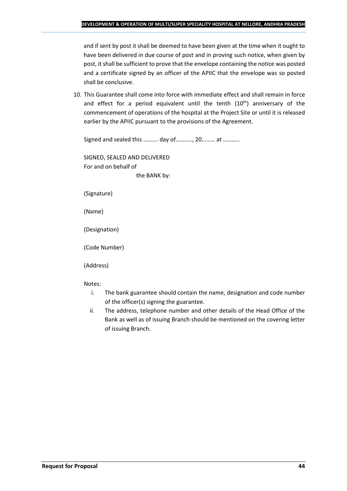and if sent by post it shall be deemed to have been given at the time when it ought to have been delivered in due course of post and in proving such notice, when given by post, it shall be sufficient to prove that the envelope containing the notice was posted and a certificate signed by an officer of the APIIC that the envelope was so posted shall be conclusive.

10. This Guarantee shall come into force with immediate effect and shall remain in force and effect for a period equivalent until the tenth  $(10<sup>th</sup>)$  anniversary of the commencement of operations of the hospital at the Project Site or until it is released earlier by the APIIC pursuant to the provisions of the Agreement.

Signed and sealed this ………. day of……….., 20……… at ………..

SIGNED, SEALED AND DELIVERED For and on behalf of the BANK by:

(Signature)

(Name)

(Designation)

(Code Number)

(Address)

Notes:

- i. The bank guarantee should contain the name, designation and code number of the officer(s) signing the guarantee.
- ii. The address, telephone number and other details of the Head Office of the Bank as well as of issuing Branch should be mentioned on the covering letter of issuing Branch.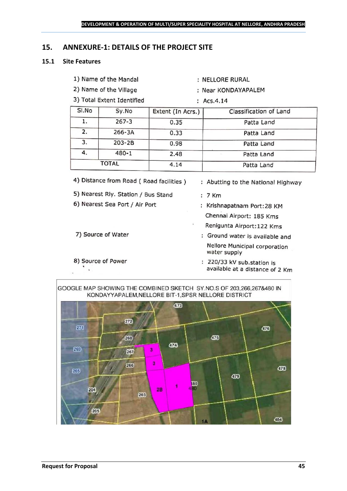## <span id="page-44-0"></span>**15. ANNEXURE-1: DETAILS OF THE PROJECT SITE**

## **15.1 Site Features**

- 1) Name of the Mandal
- 2) Name of the Village
- 3) Total Extent Identified
- : NELLORE RURAL
- : Near KONDAYAPALEM
- :  $Acs.4.14$

| SI.No | Sy.No     | Extent (In Acrs.) | Classification of Land |
|-------|-----------|-------------------|------------------------|
| ı.    | $267 - 3$ | 0.35              | Patta Land             |
| 2.    | 266-3A    | 0.33              | Patta Land             |
| 3.    | 203-2B    | 0.98              | Patta Land             |
| 4.    | $480 - 1$ | 2.48              | Patta Land             |
|       | TOTAL     | 4.14              | Patta Land             |

- 4) Distance from Road (Road facilities)
- 5) Nearest Rly. Station / Bus Stand
- 6) Nearest Sea Port / Air Port
- 7) Source of Water
- 8) Source of Power  $\ddot{\phantom{a}}$
- : Abutting to the National Highway
- $: 7$  Km
- : Krishnapatnam Port: 28 KM Chennai Airport: 185 Kms
- Renigunta Airport: 122 Kms
- : Ground water is available and Nellore Municipal corporation water supply
- : 220/33 kV sub.station is available at a distance of 2 Km

GOOGLE MAP SHOWING THE COMBINED SKETCH SY.NO.S OF 203,266,267&480 IN KONDAYYAPALEM, NELLORE BIT-1, SPSR NELLORE DISTRICT

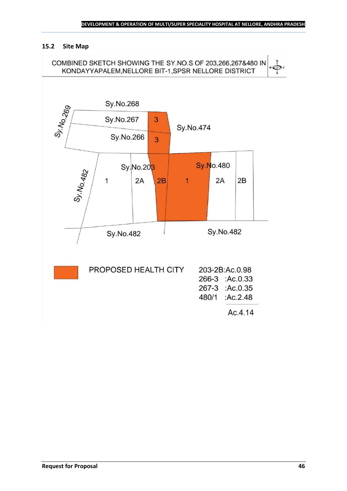### **15.2 Site Map**

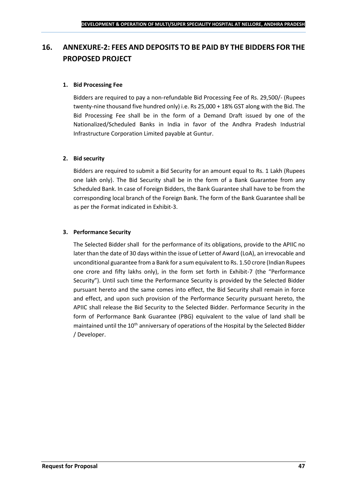## <span id="page-46-0"></span>**16. ANNEXURE-2: FEES AND DEPOSITS TO BE PAID BY THE BIDDERS FOR THE PROPOSED PROJECT**

## **1. Bid Processing Fee**

Bidders are required to pay a non-refundable Bid Processing Fee of Rs. 29,500/- (Rupees twenty-nine thousand five hundred only) i.e. Rs 25,000 + 18% GST along with the Bid. The Bid Processing Fee shall be in the form of a Demand Draft issued by one of the Nationalized/Scheduled Banks in India in favor of the Andhra Pradesh Industrial Infrastructure Corporation Limited payable at Guntur.

## **2. Bid security**

Bidders are required to submit a Bid Security for an amount equal to Rs. 1 Lakh (Rupees one lakh only). The Bid Security shall be in the form of a Bank Guarantee from any Scheduled Bank. In case of Foreign Bidders, the Bank Guarantee shall have to be from the corresponding local branch of the Foreign Bank. The form of the Bank Guarantee shall be as per the Format indicated in Exhibit-3.

## **3. Performance Security**

The Selected Bidder shall for the performance of its obligations, provide to the APIIC no later than the date of 30 days within the issue of Letter of Award (LoA), an irrevocable and unconditional guarantee from a Bank for a sum equivalent to Rs. 1.50 crore (Indian Rupees one crore and fifty lakhs only), in the form set forth in Exhibit-7 (the "Performance Security"). Until such time the Performance Security is provided by the Selected Bidder pursuant hereto and the same comes into effect, the Bid Security shall remain in force and effect, and upon such provision of the Performance Security pursuant hereto, the APIIC shall release the Bid Security to the Selected Bidder. Performance Security in the form of Performance Bank Guarantee (PBG) equivalent to the value of land shall be maintained until the 10<sup>th</sup> anniversary of operations of the Hospital by the Selected Bidder / Developer.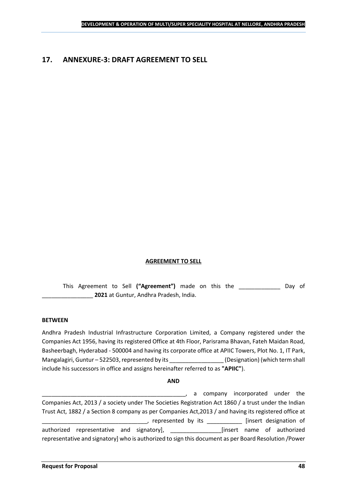## <span id="page-47-0"></span>**17. ANNEXURE-3: DRAFT AGREEMENT TO SELL**

## **AGREEMENT TO SELL**

This Agreement to Sell **("Agreement")** made on this the \_\_\_\_\_\_\_\_\_\_\_\_\_ Day of \_\_\_\_\_\_\_\_\_\_\_\_\_\_\_\_ **2021** at Guntur, Andhra Pradesh, India.

#### **BETWEEN**

Andhra Pradesh Industrial Infrastructure Corporation Limited, a Company registered under the Companies Act 1956, having its registered Office at 4th Floor, Parisrama Bhavan, Fateh Maidan Road, Basheerbagh, Hyderabad - 500004 and having its corporate office at APIIC Towers, Plot No. 1, IT Park, Mangalagiri, Guntur – 522503, represented by its \_\_\_\_\_\_\_\_\_\_\_\_\_\_\_\_\_\_\_\_\_\_\_\_\_\_\_\_\_\_\_\_<br>(Designation) (which term shall include his successors in office and assigns hereinafter referred to as **"APIIC"**).

#### **AND**

\_\_\_\_\_\_\_\_\_\_\_\_\_\_\_\_\_\_\_\_\_\_\_\_\_\_\_\_\_\_\_\_\_\_\_\_\_\_\_\_\_\_\_\_\_, a company incorporated under the Companies Act, 2013 / a society under The Societies Registration Act 1860 / a trust under the Indian Trust Act, 1882 / a Section 8 company as per Companies Act,2013 / and having its registered office at \_\_\_\_\_, represented by its \_\_\_\_\_\_\_\_\_\_\_\_\_ [insert designation of authorized representative and signatory], \_\_\_\_\_\_\_\_\_\_\_\_\_\_\_\_[insert name of authorized representative and signatory] who is authorized to sign this document as per Board Resolution /Power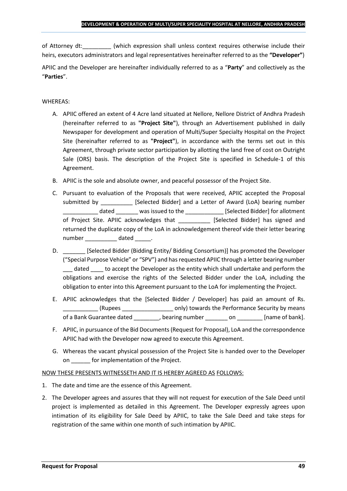of Attorney dt:  $\qquad \qquad$  (which expression shall unless context requires otherwise include their heirs, executors administrators and legal representatives hereinafter referred to as the **"Developer"**)

APIIC and the Developer are hereinafter individually referred to as a "**Party**" and collectively as the "**Parties**".

## WHEREAS:

- A. APIIC offered an extent of 4 Acre land situated at Nellore, Nellore District of Andhra Pradesh (hereinafter referred to as **"Project Site"**), through an Advertisement published in daily Newspaper for development and operation of Multi/Super Specialty Hospital on the Project Site (hereinafter referred to as **"Project"**), in accordance with the terms set out in this Agreement, through private sector participation by allotting the land free of cost on Outright Sale (ORS) basis. The description of the Project Site is specified in Schedule-1 of this Agreement.
- B. APIIC is the sole and absolute owner, and peaceful possessor of the Project Site.
- C. Pursuant to evaluation of the Proposals that were received, APIIC accepted the Proposal submitted by [Selected Bidder] and a Letter of Award (LoA) bearing number \_\_\_\_\_\_\_\_\_\_\_ dated \_\_\_\_\_\_\_ was issued to the \_\_\_\_\_\_\_\_\_\_\_\_ [Selected Bidder] for allotment of Project Site. APIIC acknowledges that [Selected Bidder] has signed and returned the duplicate copy of the LoA in acknowledgement thereof vide their letter bearing number dated the dated and the dated the set of  $\alpha$
- D. \_\_\_\_\_\_\_ [Selected Bidder (Bidding Entity/ Bidding Consortium)] has promoted the Developer ("Special Purpose Vehicle" or "SPV") and has requested APIIC through a letter bearing number dated to accept the Developer as the entity which shall undertake and perform the obligations and exercise the rights of the Selected Bidder under the LoA, including the obligation to enter into this Agreement pursuant to the LoA for implementing the Project.
- E. APIIC acknowledges that the [Selected Bidder / Developer] has paid an amount of Rs. \_\_\_\_\_\_\_\_\_\_\_ (Rupees \_\_\_\_\_\_\_\_\_\_\_\_\_\_\_\_ only) towards the Performance Security by means of a Bank Guarantee dated bearing number on the lame of bank].
- F. APIIC, in pursuance of the Bid Documents (Request for Proposal), LoA and the correspondence APIIC had with the Developer now agreed to execute this Agreement.
- G. Whereas the vacant physical possession of the Project Site is handed over to the Developer on \_\_\_\_\_\_ for implementation of the Project.

## NOW THESE PRESENTS WITNESSETH AND IT IS HEREBY AGREED AS FOLLOWS:

- 1. The date and time are the essence of this Agreement.
- 2. The Developer agrees and assures that they will not request for execution of the Sale Deed until project is implemented as detailed in this Agreement. The Developer expressly agrees upon intimation of its eligibility for Sale Deed by APIIC, to take the Sale Deed and take steps for registration of the same within one month of such intimation by APIIC.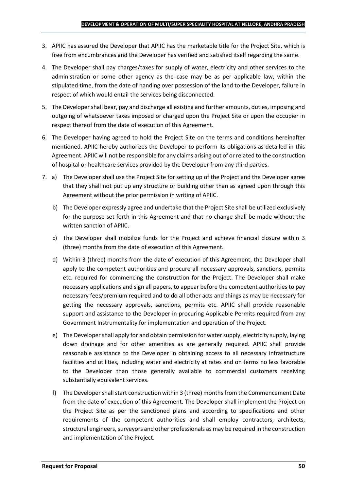- 3. APIIC has assured the Developer that APIIC has the marketable title for the Project Site, which is free from encumbrances and the Developer has verified and satisfied itself regarding the same.
- 4. The Developer shall pay charges/taxes for supply of water, electricity and other services to the administration or some other agency as the case may be as per applicable law, within the stipulated time, from the date of handing over possession of the land to the Developer, failure in respect of which would entail the services being disconnected.
- 5. The Developer shall bear, pay and discharge all existing and further amounts, duties, imposing and outgoing of whatsoever taxes imposed or charged upon the Project Site or upon the occupier in respect thereof from the date of execution of this Agreement.
- 6. The Developer having agreed to hold the Project Site on the terms and conditions hereinafter mentioned. APIIC hereby authorizes the Developer to perform its obligations as detailed in this Agreement. APIIC will not be responsible for any claims arising out of or related to the construction of hospital or healthcare services provided by the Developer from any third parties.
- 7. a) The Developer shall use the Project Site for setting up of the Project and the Developer agree that they shall not put up any structure or building other than as agreed upon through this Agreement without the prior permission in writing of APIIC.
	- b) The Developer expressly agree and undertake that the Project Site shall be utilized exclusively for the purpose set forth in this Agreement and that no change shall be made without the written sanction of APIIC.
	- c) The Developer shall mobilize funds for the Project and achieve financial closure within 3 (three) months from the date of execution of this Agreement.
	- d) Within 3 (three) months from the date of execution of this Agreement, the Developer shall apply to the competent authorities and procure all necessary approvals, sanctions, permits etc. required for commencing the construction for the Project. The Developer shall make necessary applications and sign all papers, to appear before the competent authorities to pay necessary fees/premium required and to do all other acts and things as may be necessary for getting the necessary approvals, sanctions, permits etc. APIIC shall provide reasonable support and assistance to the Developer in procuring Applicable Permits required from any Government Instrumentality for implementation and operation of the Project.
	- e) The Developer shall apply for and obtain permission for water supply, electricity supply, laying down drainage and for other amenities as are generally required. APIIC shall provide reasonable assistance to the Developer in obtaining access to all necessary infrastructure facilities and utilities, including water and electricity at rates and on terms no less favorable to the Developer than those generally available to commercial customers receiving substantially equivalent services.
	- f) The Developer shall start construction within 3 (three) months from the Commencement Date from the date of execution of this Agreement. The Developer shall implement the Project on the Project Site as per the sanctioned plans and according to specifications and other requirements of the competent authorities and shall employ contractors, architects, structural engineers, surveyors and other professionals as may be required in the construction and implementation of the Project.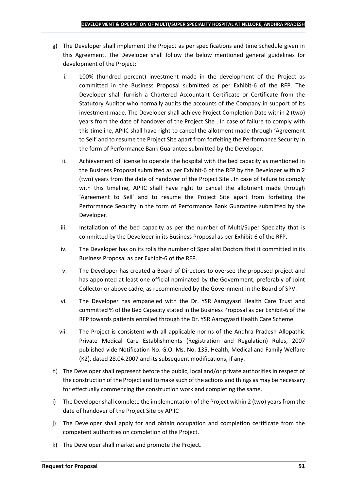- g) The Developer shall implement the Project as per specifications and time schedule given in this Agreement. The Developer shall follow the below mentioned general guidelines for development of the Project:
	- i. 100% (hundred percent) investment made in the development of the Project as committed in the Business Proposal submitted as per Exhibit-6 of the RFP. The Developer shall furnish a Chartered Accountant Certificate or Certificate from the Statutory Auditor who normally audits the accounts of the Company in support of its investment made. The Developer shall achieve Project Completion Date within 2 (two) years from the date of handover of the Project Site . In case of failure to comply with this timeline, APIIC shall have right to cancel the allotment made through 'Agreement to Sell' and to resume the Project Site apart from forfeiting the Performance Security in the form of Performance Bank Guarantee submitted by the Developer.
	- ii. Achievement of license to operate the hospital with the bed capacity as mentioned in the Business Proposal submitted as per Exhibit-6 of the RFP by the Developer within 2 (two) years from the date of handover of the Project Site . In case of failure to comply with this timeline, APIIC shall have right to cancel the allotment made through 'Agreement to Sell' and to resume the Project Site apart from forfeiting the Performance Security in the form of Performance Bank Guarantee submitted by the Developer.
	- iii. Installation of the bed capacity as per the number of Multi/Super Specialty that is committed by the Developer in its Business Proposal as per Exhibit-6 of the RFP.
	- iv. The Developer has on its rolls the number of Specialist Doctors that it committed in its Business Proposal as per Exhibit-6 of the RFP.
	- v. The Developer has created a Board of Directors to oversee the proposed project and has appointed at least one official nominated by the Government, preferably of Joint Collector or above cadre, as recommended by the Government in the Board of SPV.
	- vi. The Developer has empaneled with the Dr. YSR Aarogyasri Health Care Trust and committed % of the Bed Capacity stated in the Business Proposal as per Exhibit-6 of the RFP towards patients enrolled through the Dr. YSR Aarogyasri Health Care Scheme
	- vii. The Project is consistent with all applicable norms of the Andhra Pradesh Allopathic Private Medical Care Establishments (Registration and Regulation) Rules, 2007 published vide Notification No. G.O. Ms. No. 135, Health, Medical and Family Welfare (K2), dated 28.04.2007 and its subsequent modifications, if any.
- h) The Developer shall represent before the public, local and/or private authorities in respect of the construction of the Project and to make such of the actions and things as may be necessary for effectually commencing the construction work and completing the same.
- i) The Developer shall complete the implementation of the Project within 2 (two) years from the date of handover of the Project Site by APIIC
- j) The Developer shall apply for and obtain occupation and completion certificate from the competent authorities on completion of the Project.
- k) The Developer shall market and promote the Project.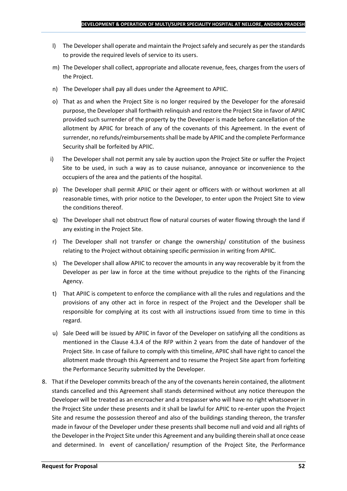- l) The Developer shall operate and maintain the Project safely and securely as per the standards to provide the required levels of service to its users.
- m) The Developer shall collect, appropriate and allocate revenue, fees, charges from the users of the Project.
- n) The Developer shall pay all dues under the Agreement to APIIC.
- o) That as and when the Project Site is no longer required by the Developer for the aforesaid purpose, the Developer shall forthwith relinquish and restore the Project Site in favor of APIIC provided such surrender of the property by the Developer is made before cancellation of the allotment by APIIC for breach of any of the covenants of this Agreement. In the event of surrender, no refunds/reimbursements shall be made by APIIC and the complete Performance Security shall be forfeited by APIIC.
- i) The Developer shall not permit any sale by auction upon the Project Site or suffer the Project Site to be used, in such a way as to cause nuisance, annoyance or inconvenience to the occupiers of the area and the patients of the hospital.
- p) The Developer shall permit APIIC or their agent or officers with or without workmen at all reasonable times, with prior notice to the Developer, to enter upon the Project Site to view the conditions thereof.
- q) The Developer shall not obstruct flow of natural courses of water flowing through the land if any existing in the Project Site.
- r) The Developer shall not transfer or change the ownership/ constitution of the business relating to the Project without obtaining specific permission in writing from APIIC.
- s) The Developer shall allow APIIC to recover the amounts in any way recoverable by it from the Developer as per law in force at the time without prejudice to the rights of the Financing Agency.
- t) That APIIC is competent to enforce the compliance with all the rules and regulations and the provisions of any other act in force in respect of the Project and the Developer shall be responsible for complying at its cost with all instructions issued from time to time in this regard.
- u) Sale Deed will be issued by APIIC in favor of the Developer on satisfying all the conditions as mentioned in the Clause 4.3.4 of the RFP within 2 years from the date of handover of the Project Site. In case of failure to comply with this timeline, APIIC shall have right to cancel the allotment made through this Agreement and to resume the Project Site apart from forfeiting the Performance Security submitted by the Developer.
- 8. That if the Developer commits breach of the any of the covenants herein contained, the allotment stands cancelled and this Agreement shall stands determined without any notice thereupon the Developer will be treated as an encroacher and a trespasser who will have no right whatsoever in the Project Site under these presents and it shall be lawful for APIIC to re-enter upon the Project Site and resume the possession thereof and also of the buildings standing thereon, the transfer made in favour of the Developer under these presents shall become null and void and all rights of the Developer in the Project Site under this Agreement and any building therein shall at once cease and determined. In event of cancellation/ resumption of the Project Site, the Performance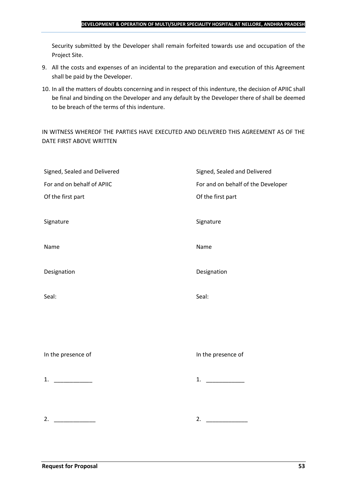#### **DEVELOPMENT & OPERATION OF MULTI/SUPER SPECIALITY HOSPITAL AT NELLORE, ANDHRA PRADESH**

Security submitted by the Developer shall remain forfeited towards use and occupation of the Project Site.

- 9. All the costs and expenses of an incidental to the preparation and execution of this Agreement shall be paid by the Developer.
- 10. In all the matters of doubts concerning and in respect of this indenture, the decision of APIIC shall be final and binding on the Developer and any default by the Developer there of shall be deemed to be breach of the terms of this indenture.

IN WITNESS WHEREOF THE PARTIES HAVE EXECUTED AND DELIVERED THIS AGREEMENT AS OF THE DATE FIRST ABOVE WRITTEN

| Signed, Sealed and Delivered | Signed, Sealed and Delivered       |
|------------------------------|------------------------------------|
| For and on behalf of APIIC   | For and on behalf of the Developer |
| Of the first part            | Of the first part                  |
|                              |                                    |
| Signature                    | Signature                          |
|                              |                                    |
| Name                         | Name                               |
|                              |                                    |
| Designation                  | Designation                        |
|                              |                                    |
| Seal:                        | Seal:                              |
|                              |                                    |
|                              |                                    |
|                              |                                    |
|                              | In the presence of                 |
| In the presence of           |                                    |
| 1. $\qquad$                  | 1.                                 |
|                              |                                    |
|                              |                                    |
|                              |                                    |
| 2.                           | 2. $\qquad \qquad$                 |
|                              |                                    |